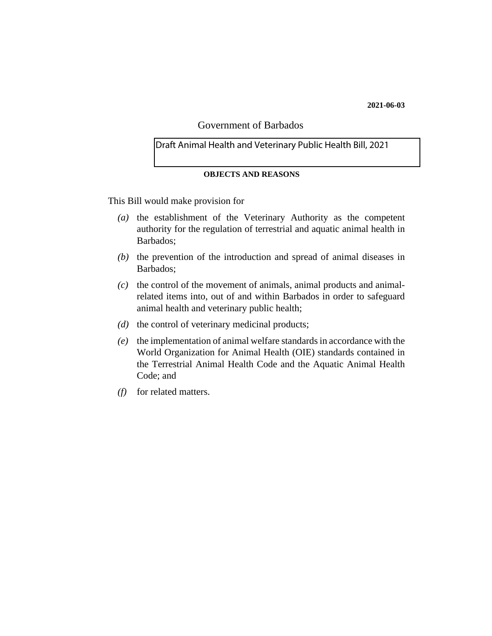#### **2021-06-03**

# Government of Barbados

### Draft Animal Health and Veterinary Public Health Bill, 2021

#### **OBJECTS AND REASONS**

This Bill would make provision for

- (a) the establishment of the Veterinary Authority as the competent authority for the regulation of terrestrial and aquatic animal health in Barbados;
- $(b)$  the prevention of the introduction and spread of animal diseases in Barbados;
- $(c)$  the control of the movement of animals, animal products and animalrelated items into, out of and within Barbados in order to safeguard animal health and veterinary public health;
- $(d)$  the control of veterinary medicinal products;
- (e) the implementation of animal welfare standards in accordance with the World Organization for Animal Health (OIE) standards contained in the Terrestrial Animal Health Code and the Aquatic Animal Health Code; and
- for related matters. *(f)*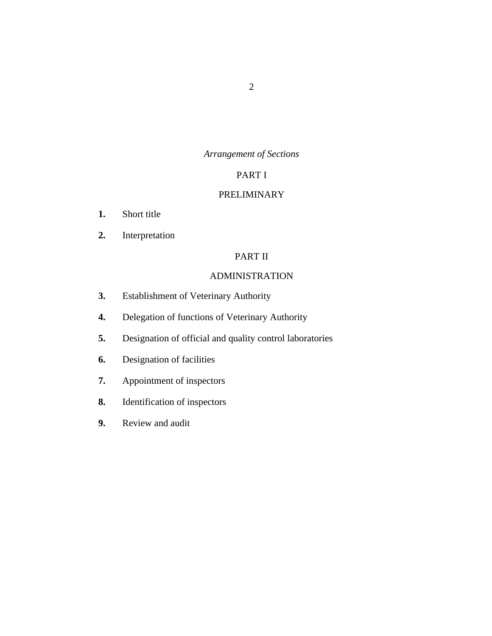# *Arrangement of Sections*

# PART I

# [PRELIMINARY](#page-9-0)

- [Short title](#page-9-0) **1.**
- [Interpretation](#page-9-0) **2.**

# PART II

# [ADMINISTRATION](#page-16-0)

- [Establishment of Veterinary Authority](#page-16-0) **3.**
- [Delegation of functions of Veterinary Authority](#page-19-0) **4.**
- [Designation of official and quality control laboratories](#page-20-0) **5.**
- [Designation of facilities](#page-20-0) **6.**
- [Appointment of inspectors](#page-20-0) **7.**
- [Identification of inspectors](#page-21-0) **8.**
- [Review and audit](#page-21-0) **9.**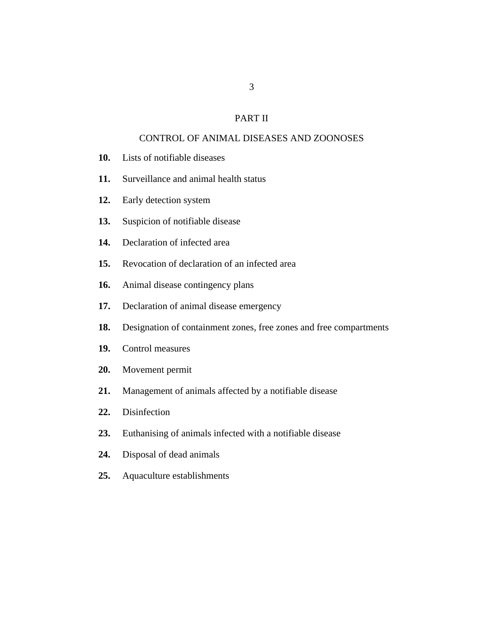## PART II

## [CONTROL OF ANIMAL DISEASES AND ZOONOSES](#page-22-0)

- [Lists of notifiable diseases](#page-22-0) **10.**
- [Surveillance and animal health status](#page-22-0) **11.**
- [Early detection system](#page-22-0) **12.**
- [Suspicion of notifiable disease](#page-23-0) **13.**
- [Declaration of infected area](#page-24-0) **14.**
- [Revocation of declaration of an infected area](#page-25-0) **15.**
- [Animal disease contingency plans](#page-25-0) **16.**
- [Declaration of animal disease emergency](#page-26-0) **17.**
- [Designation of containment zones, free zones and free compartments](#page-28-0) **18.**
- [Control measures](#page-28-0) **19.**
- [Movement permit](#page-28-0) **20.**
- [Management of animals affected by a notifiable disease](#page-30-0) **21.**
- **[Disinfection](#page-30-0) 22.**
- [Euthanising of animals infected with a notifiable disease](#page-30-0) **23.**
- [Disposal of dead animals](#page-31-0) **24.**
- [Aquaculture establishments](#page-31-0) **25.**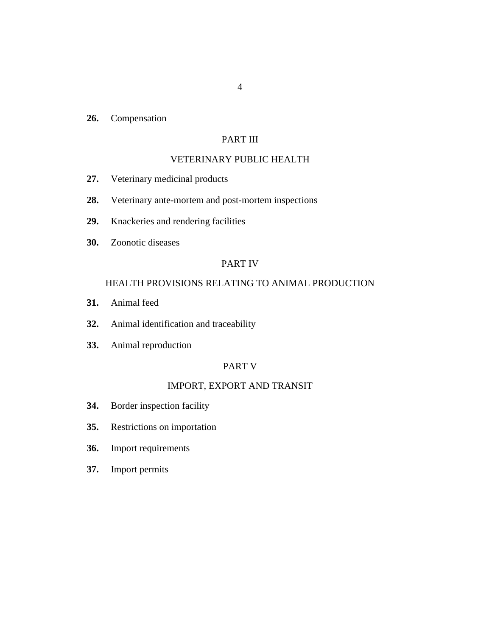[Compensation](#page-31-0) **26.**

# PART III

## [VETERINARY PUBLIC HEALTH](#page-32-0)

- [Veterinary medicinal products](#page-32-0) **27.**
- [Veterinary ante-mortem and post-mortem inspections](#page-34-0) **28.**
- [Knackeries and rendering facilities](#page-35-0) **29.**
- [Zoonotic diseases](#page-35-0) **30.**

### PART IV

## [HEALTH PROVISIONS RELATING TO ANIMAL PRODUCTION](#page-36-0)

- [Animal feed](#page-36-0) **31.**
- [Animal identification and traceability](#page-37-0) **32.**
- [Animal reproduction](#page-37-0) **33.**

### PART V

# [IMPORT, EXPORT AND TRANSIT](#page-38-0)

- [Border inspection facility](#page-38-0) **34.**
- [Restrictions on importation](#page-38-0) **35.**
- [Import requirements](#page-39-0) **36.**
- [Import permits](#page-40-0) **37.**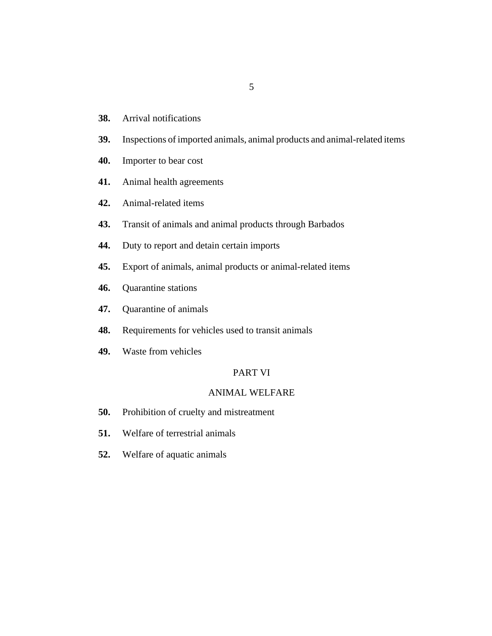- [Arrival notifications](#page-41-0) **38.**
- [Inspections of imported animals, animal products and animal-related items](#page-41-0) **39.**
- [Importer to bear cost](#page-43-0) **40.**
- [Animal health agreements](#page-43-0) **41.**
- [Animal-related items](#page-44-0) **42.**
- [Transit of animals and animal products through Barbados](#page-44-0) **43.**
- [Duty to report and detain certain imports](#page-46-0) **44.**
- [Export of animals, animal products or animal-related items](#page-46-0) **45.**
- [Quarantine stations](#page-47-0) **46.**
- [Quarantine of animals](#page-48-0) **47.**
- [Requirements for vehicles used to transit animals](#page-49-0) **48.**
- [Waste from vehicles](#page-49-0) **49.**

# PART VI

#### [ANIMAL WELFARE](#page-50-0)

- [Prohibition of cruelty and mistreatment](#page-50-0) **50.**
- [Welfare of terrestrial animals](#page-50-0) **51.**
- [Welfare of aquatic animals](#page-51-0) **52.**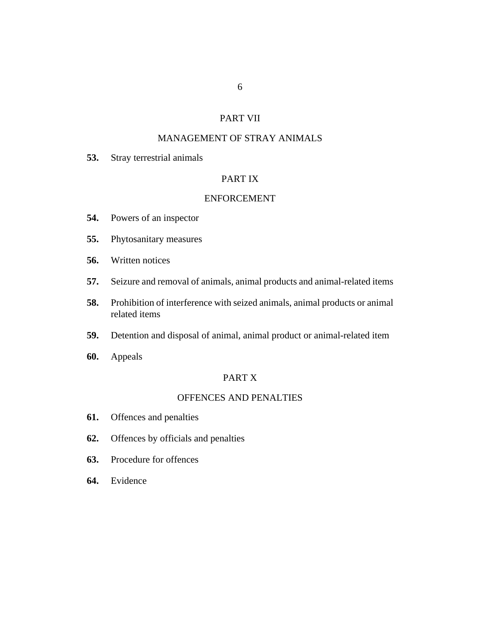## PART VII

# [MANAGEMENT OF STRAY ANIMALS](#page-52-0)

[Stray terrestrial animals](#page-52-0) **53.**

## PART IX

### [ENFORCEMENT](#page-53-0)

- [Powers of an inspector](#page-53-0) **54.**
- [Phytosanitary measures](#page-56-0) **55.**
- [Written notices](#page-56-0) **56.**
- [Seizure and removal of animals, animal products and animal-related items](#page-57-0) **57.**
- [Prohibition of interference with seized animals, animal products or animal](#page-57-0) related items **58.**
- [Detention and disposal of animal, animal product or animal-related item](#page-58-0) **59.**
- [Appeals](#page-59-0) **60.**

### PART X

### [OFFENCES AND PENALTIES](#page-59-0)

- [Offences and penalties](#page-59-0) **61.**
- [Offences by officials and penalties](#page-61-0) **62.**
- [Procedure for offences](#page-62-0) **63.**
- [Evidence](#page-62-0) **64.**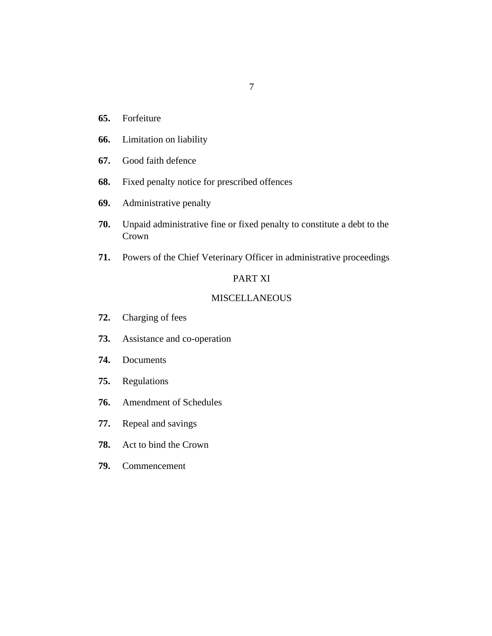- [Forfeiture](#page-62-0) **65.**
- [Limitation on liability](#page-63-0) **66.**
- [Good faith defence](#page-63-0) **67.**
- [Fixed penalty notice for prescribed offences](#page-64-0) **68.**
- [Administrative penalty](#page-66-0) **69.**
- [Unpaid administrative fine or fixed penalty to constitute a debt to the](#page-66-0) Crown **70.**
- [Powers of the Chief Veterinary Officer in administrative proceedings](#page-67-0) **71.**

# PART XI

### [MISCELLANEOUS](#page-67-0)

- [Charging of fees](#page-67-0) **72.**
- [Assistance and co-operation](#page-68-0) **73.**
- [Documents](#page-68-0) **74.**
- [Regulations](#page-68-0) **75.**
- [Amendment of Schedules](#page-70-0) **76.**
- [Repeal and savings](#page-70-0) **77.**
- [Act to bind the Crown](#page-71-0) **78.**
- [Commencement](#page-71-0) **79.**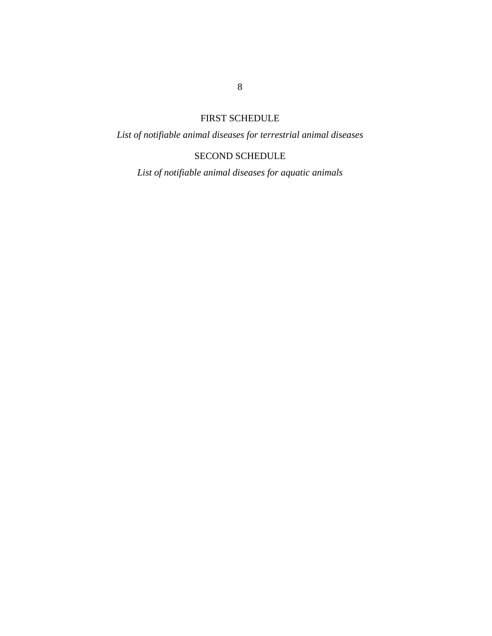# FIRST SCHEDULE

*List of notifiable animal diseases for terrestrial animal diseases*

# SECOND SCHEDULE

*List of notifiable animal diseases for aquatic animals*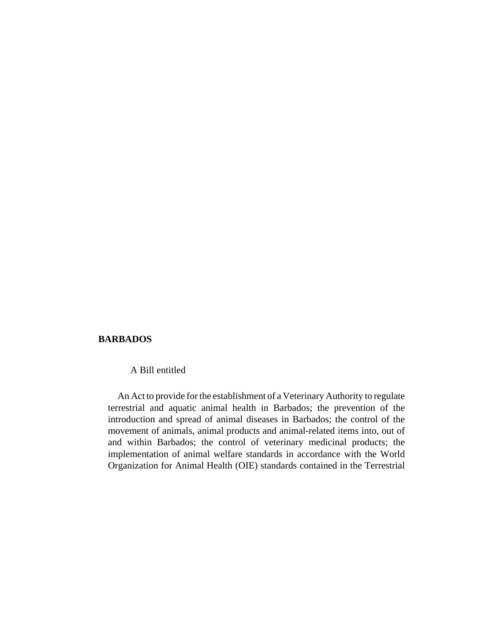### **BARBADOS**

### A Bill entitled

An Act to provide for the establishment of a Veterinary Authority to regulate terrestrial and aquatic animal health in Barbados; the prevention of the introduction and spread of animal diseases in Barbados; the control of the movement of animals, animal products and animal-related items into, out of and within Barbados; the control of veterinary medicinal products; the implementation of animal welfare standards in accordance with the World Organization for Animal Health (OIE) standards contained in the Terrestrial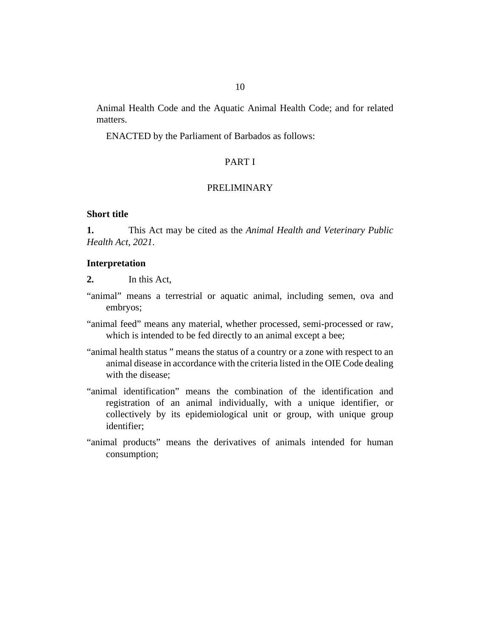<span id="page-9-0"></span>Animal Health Code and the Aquatic Animal Health Code; and for related matters.

ENACTED by the Parliament of Barbados as follows:

### PART I

## PRELIMINARY

### **Short title**

This Act may be cited as the *Animal Health and Veterinary Public Health Act, 2021*. **1.**

#### **Interpretation**

- In this Act, **2.**
- "animal" means a terrestrial or aquatic animal, including semen, ova and embryos;
- "animal feed" means any material, whether processed, semi-processed or raw, which is intended to be fed directly to an animal except a bee;
- "animal health status " means the status of a country or a zone with respect to an animal disease in accordance with the criteria listed in the OIE Code dealing with the disease;
- "animal identification" means the combination of the identification and registration of an animal individually, with a unique identifier, or collectively by its epidemiological unit or group, with unique group identifier;
- "animal products" means the derivatives of animals intended for human consumption;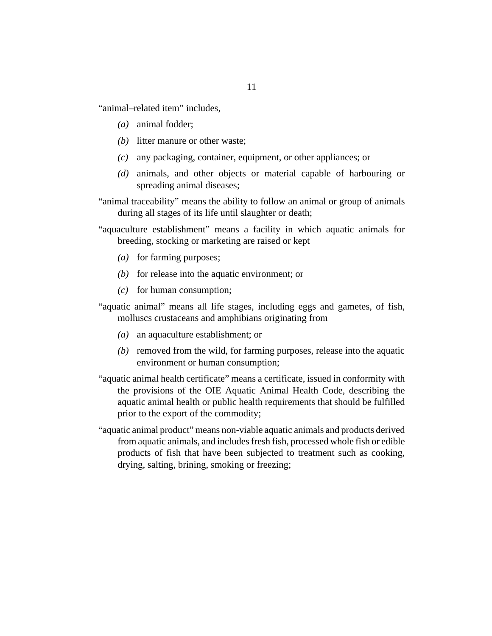"animal–related item" includes,

- animal fodder; *(a)*
- (b) litter manure or other waste;
- any packaging, container, equipment, or other appliances; or *(c)*
- (d) animals, and other objects or material capable of harbouring or spreading animal diseases;
- "animal traceability" means the ability to follow an animal or group of animals during all stages of its life until slaughter or death;
- "aquaculture establishment" means a facility in which aquatic animals for breeding, stocking or marketing are raised or kept
	- (a) for farming purposes;
	- $(b)$  for release into the aquatic environment; or
	- $(c)$  for human consumption;
- "aquatic animal" means all life stages, including eggs and gametes, of fish, molluscs crustaceans and amphibians originating from
	- an aquaculture establishment; or *(a)*
	- (b) removed from the wild, for farming purposes, release into the aquatic environment or human consumption;
- "aquatic animal health certificate" means a certificate, issued in conformity with the provisions of the OIE Aquatic Animal Health Code, describing the aquatic animal health or public health requirements that should be fulfilled prior to the export of the commodity;
- "aquatic animal product" means non-viable aquatic animals and products derived from aquatic animals, and includes fresh fish, processed whole fish or edible products of fish that have been subjected to treatment such as cooking, drying, salting, brining, smoking or freezing;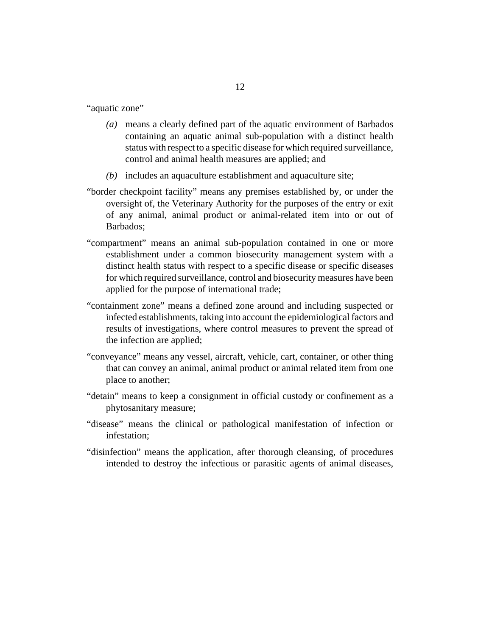"aquatic zone"

- means a clearly defined part of the aquatic environment of Barbados *(a)* containing an aquatic animal sub-population with a distinct health status with respect to a specific disease for which required surveillance, control and animal health measures are applied; and
- (b) includes an aquaculture establishment and aquaculture site;
- "border checkpoint facility" means any premises established by, or under the oversight of, the Veterinary Authority for the purposes of the entry or exit of any animal, animal product or animal-related item into or out of Barbados;
- "compartment" means an animal sub-population contained in one or more establishment under a common biosecurity management system with a distinct health status with respect to a specific disease or specific diseases for which required surveillance, control and biosecurity measures have been applied for the purpose of international trade;
- "containment zone" means a defined zone around and including suspected or infected establishments, taking into account the epidemiological factors and results of investigations, where control measures to prevent the spread of the infection are applied;
- "conveyance" means any vessel, aircraft, vehicle, cart, container, or other thing that can convey an animal, animal product or animal related item from one place to another;
- "detain" means to keep a consignment in official custody or confinement as a phytosanitary measure;
- "disease" means the clinical or pathological manifestation of infection or infestation;
- "disinfection" means the application, after thorough cleansing, of procedures intended to destroy the infectious or parasitic agents of animal diseases,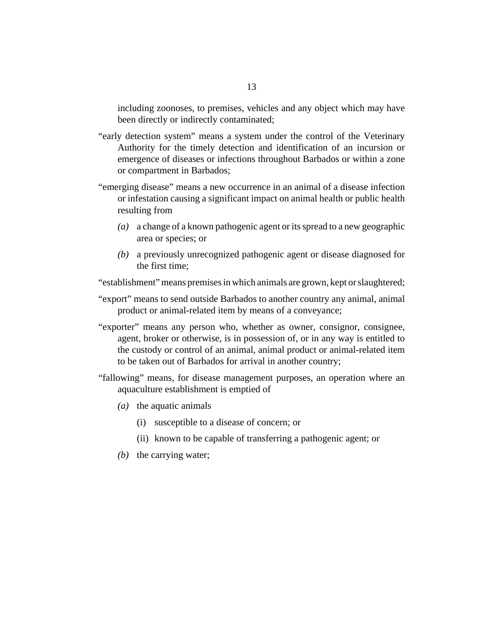including zoonoses, to premises, vehicles and any object which may have been directly or indirectly contaminated;

- "early detection system" means a system under the control of the Veterinary Authority for the timely detection and identification of an incursion or emergence of diseases or infections throughout Barbados or within a zone or compartment in Barbados;
- "emerging disease" means a new occurrence in an animal of a disease infection or infestation causing a significant impact on animal health or public health resulting from
	- a change of a known pathogenic agent or its spread to a new geographic *(a)* area or species; or
	- a previously unrecognized pathogenic agent or disease diagnosed for *(b)* the first time;

"establishment" means premises in which animals are grown, kept or slaughtered;

- "export" means to send outside Barbados to another country any animal, animal product or animal-related item by means of a conveyance;
- "exporter" means any person who, whether as owner, consignor, consignee, agent, broker or otherwise, is in possession of, or in any way is entitled to the custody or control of an animal, animal product or animal-related item to be taken out of Barbados for arrival in another country;
- "fallowing" means, for disease management purposes, an operation where an aquaculture establishment is emptied of
	- (a) the aquatic animals
		- (i) susceptible to a disease of concern; or
		- (ii) known to be capable of transferring a pathogenic agent; or
	- $(b)$  the carrying water;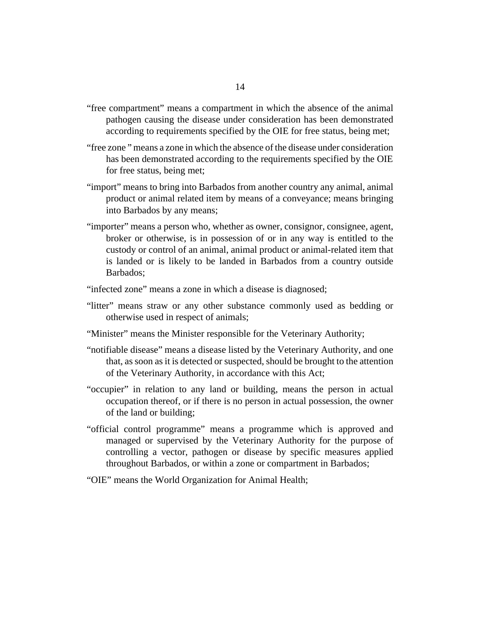- "free compartment" means a compartment in which the absence of the animal pathogen causing the disease under consideration has been demonstrated according to requirements specified by the OIE for free status, being met;
- "free zone " means a zone in which the absence of the disease under consideration has been demonstrated according to the requirements specified by the OIE for free status, being met;
- "import" means to bring into Barbados from another country any animal, animal product or animal related item by means of a conveyance; means bringing into Barbados by any means;
- "importer" means a person who, whether as owner, consignor, consignee, agent, broker or otherwise, is in possession of or in any way is entitled to the custody or control of an animal, animal product or animal-related item that is landed or is likely to be landed in Barbados from a country outside Barbados;
- "infected zone" means a zone in which a disease is diagnosed;
- "litter" means straw or any other substance commonly used as bedding or otherwise used in respect of animals;
- "Minister" means the Minister responsible for the Veterinary Authority;
- "notifiable disease" means a disease listed by the Veterinary Authority, and one that, as soon as it is detected or suspected, should be brought to the attention of the Veterinary Authority, in accordance with this Act;
- "occupier" in relation to any land or building, means the person in actual occupation thereof, or if there is no person in actual possession, the owner of the land or building;
- "official control programme" means a programme which is approved and managed or supervised by the Veterinary Authority for the purpose of controlling a vector, pathogen or disease by specific measures applied throughout Barbados, or within a zone or compartment in Barbados;
- "OIE" means the World Organization for Animal Health;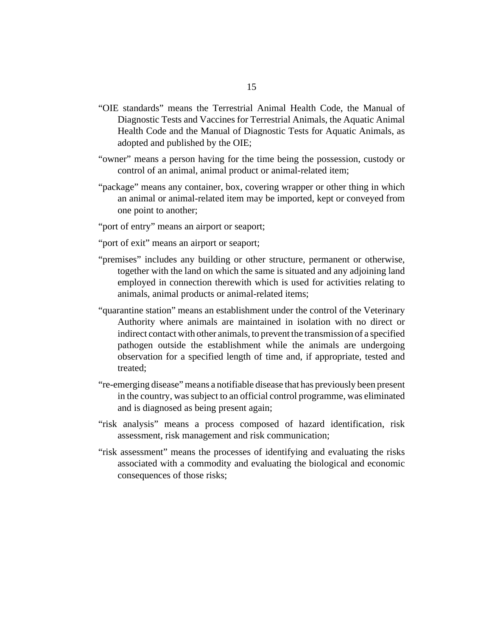- "OIE standards" means the Terrestrial Animal Health Code, the Manual of Diagnostic Tests and Vaccines for Terrestrial Animals, the Aquatic Animal Health Code and the Manual of Diagnostic Tests for Aquatic Animals, as adopted and published by the OIE;
- "owner" means a person having for the time being the possession, custody or control of an animal, animal product or animal-related item;
- "package" means any container, box, covering wrapper or other thing in which an animal or animal-related item may be imported, kept or conveyed from one point to another;
- "port of entry" means an airport or seaport;
- "port of exit" means an airport or seaport;
- "premises" includes any building or other structure, permanent or otherwise, together with the land on which the same is situated and any adjoining land employed in connection therewith which is used for activities relating to animals, animal products or animal-related items;
- "quarantine station" means an establishment under the control of the Veterinary Authority where animals are maintained in isolation with no direct or indirect contact with other animals, to prevent the transmission of a specified pathogen outside the establishment while the animals are undergoing observation for a specified length of time and, if appropriate, tested and treated;
- "re-emerging disease" means a notifiable disease that has previously been present in the country, was subject to an official control programme, was eliminated and is diagnosed as being present again;
- "risk analysis" means a process composed of hazard identification, risk assessment, risk management and risk communication;
- "risk assessment" means the processes of identifying and evaluating the risks associated with a commodity and evaluating the biological and economic consequences of those risks;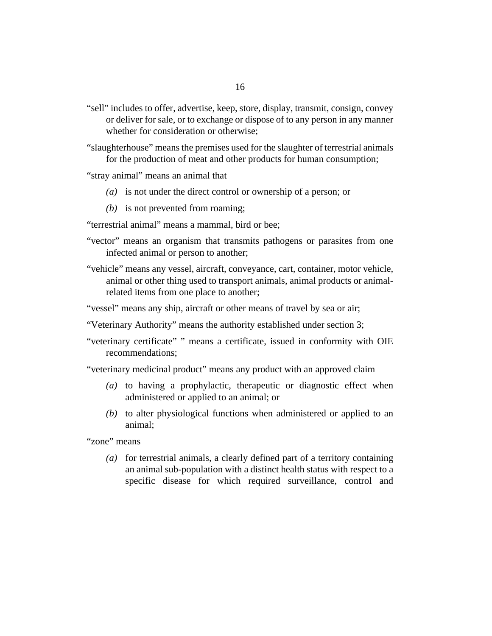"sell" includes to offer, advertise, keep, store, display, transmit, consign, convey or deliver for sale, or to exchange or dispose of to any person in any manner whether for consideration or otherwise;

"slaughterhouse" means the premises used for the slaughter of terrestrial animals for the production of meat and other products for human consumption;

- "stray animal" means an animal that
	- is not under the direct control or ownership of a person; or *(a)*
	- (b) is not prevented from roaming;

"terrestrial animal" means a mammal, bird or bee;

- "vector" means an organism that transmits pathogens or parasites from one infected animal or person to another;
- "vehicle" means any vessel, aircraft, conveyance, cart, container, motor vehicle, animal or other thing used to transport animals, animal products or animalrelated items from one place to another;
- "vessel" means any ship, aircraft or other means of travel by sea or air;
- "Veterinary Authority" means the authority established under section 3;
- "veterinary certificate" " means a certificate, issued in conformity with OIE recommendations;

"veterinary medicinal product" means any product with an approved claim

- (a) to having a prophylactic, therapeutic or diagnostic effect when administered or applied to an animal; or
- (b) to alter physiological functions when administered or applied to an animal;

"zone" means

for terrestrial animals, a clearly defined part of a territory containing *(a)* an animal sub-population with a distinct health status with respect to a specific disease for which required surveillance, control and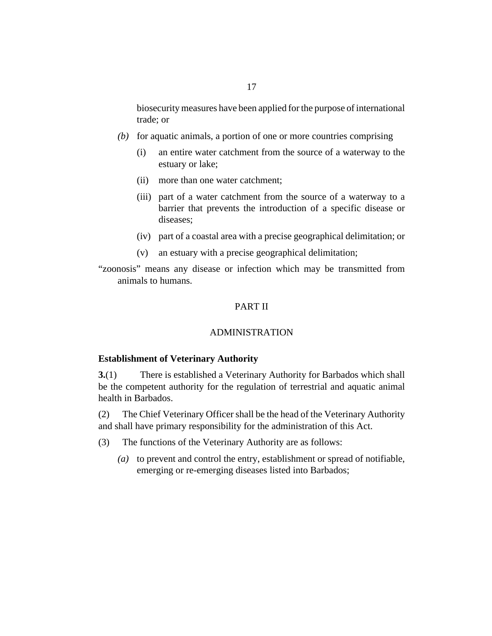- <span id="page-16-0"></span>(b) for aquatic animals, a portion of one or more countries comprising
	- an entire water catchment from the source of a waterway to the estuary or lake; (i)
	- (ii) more than one water catchment;
	- (iii) part of a water catchment from the source of a waterway to a barrier that prevents the introduction of a specific disease or diseases;
	- part of a coastal area with a precise geographical delimitation; or (iv)
	- an estuary with a precise geographical delimitation; (v)

"zoonosis" means any disease or infection which may be transmitted from animals to humans.

# PART II

### ADMINISTRATION

#### **Establishment of Veterinary Authority**

There is established a Veterinary Authority for Barbados which shall be the competent authority for the regulation of terrestrial and aquatic animal health in Barbados. **3.**(1)

The Chief Veterinary Officer shall be the head of the Veterinary Authority and shall have primary responsibility for the administration of this Act. (2)

- The functions of the Veterinary Authority are as follows: (3)
	- (a) to prevent and control the entry, establishment or spread of notifiable, emerging or re-emerging diseases listed into Barbados;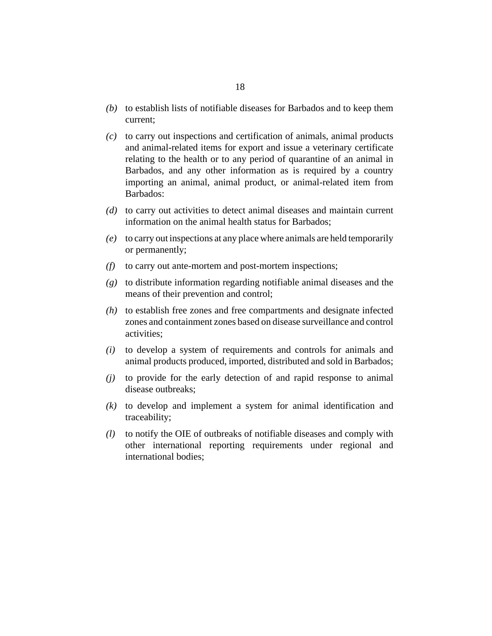- (b) to establish lists of notifiable diseases for Barbados and to keep them current;
- to carry out inspections and certification of animals, animal products *(c)* and animal-related items for export and issue a veterinary certificate relating to the health or to any period of quarantine of an animal in Barbados, and any other information as is required by a country importing an animal, animal product, or animal-related item from Barbados:
- (d) to carry out activities to detect animal diseases and maintain current information on the animal health status for Barbados;
- to carry out inspections at any place where animals are held temporarily *(e)* or permanently;
- to carry out ante-mortem and post-mortem inspections; *(f)*
- to distribute information regarding notifiable animal diseases and the *(g)* means of their prevention and control;
- (h) to establish free zones and free compartments and designate infected zones and containment zones based on disease surveillance and control activities;
- to develop a system of requirements and controls for animals and *(i)* animal products produced, imported, distributed and sold in Barbados;
- (j) to provide for the early detection of and rapid response to animal disease outbreaks;
- $(k)$  to develop and implement a system for animal identification and traceability;
- to notify the OIE of outbreaks of notifiable diseases and comply with *(l)* other international reporting requirements under regional and international bodies;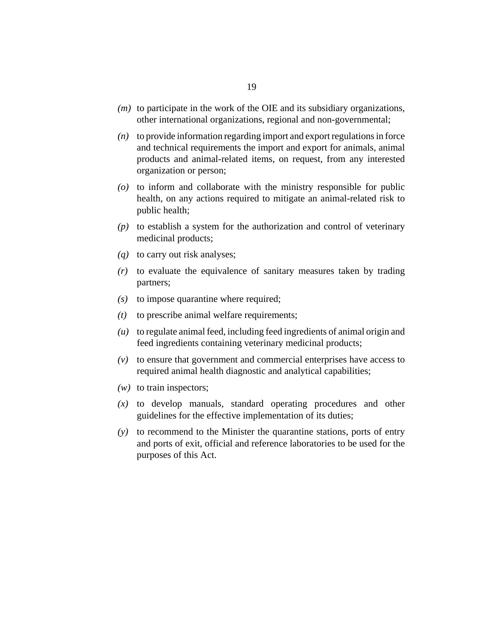- $(m)$  to participate in the work of the OIE and its subsidiary organizations, other international organizations, regional and non-governmental;
- to provide information regarding import and export regulations in force *(n)* and technical requirements the import and export for animals, animal products and animal-related items, on request, from any interested organization or person;
- to inform and collaborate with the ministry responsible for public *(o)* health, on any actions required to mitigate an animal-related risk to public health;
- to establish a system for the authorization and control of veterinary *(p)* medicinal products;
- (q) to carry out risk analyses;
- to evaluate the equivalence of sanitary measures taken by trading *(r)* partners;
- $(s)$  to impose quarantine where required;
- to prescribe animal welfare requirements; *(t)*
- to regulate animal feed, including feed ingredients of animal origin and *(u)* feed ingredients containing veterinary medicinal products;
- to ensure that government and commercial enterprises have access to *(v)* required animal health diagnostic and analytical capabilities;
- $(w)$  to train inspectors;
- $f(x)$  to develop manuals, standard operating procedures and other guidelines for the effective implementation of its duties;
- to recommend to the Minister the quarantine stations, ports of entry *(y)* and ports of exit, official and reference laboratories to be used for the purposes of this Act.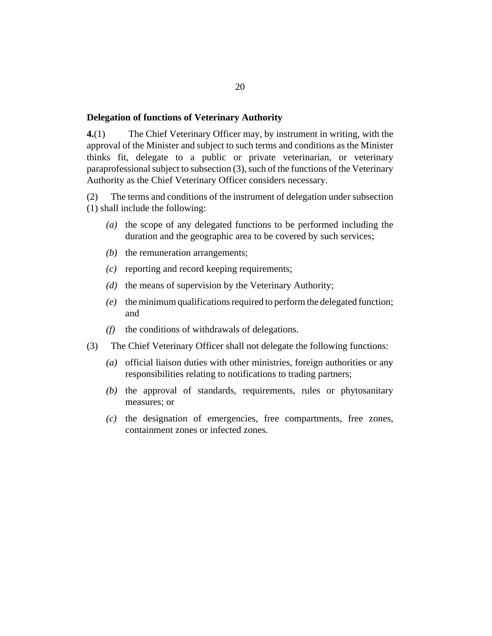#### <span id="page-19-0"></span>**Delegation of functions of Veterinary Authority**

The Chief Veterinary Officer may, by instrument in writing, with the approval of the Minister and subject to such terms and conditions as the Minister thinks fit, delegate to a public or private veterinarian, or veterinary paraprofessional subject to subsection (3), such of the functions of the Veterinary Authority as the Chief Veterinary Officer considers necessary. **4.**(1)

The terms and conditions of the instrument of delegation under subsection (1) shall include the following: (2)

- (a) the scope of any delegated functions to be performed including the duration and the geographic area to be covered by such services;
- (b) the remuneration arrangements;
- reporting and record keeping requirements; *(c)*
- (d) the means of supervision by the Veterinary Authority;
- the minimum qualifications required to perform the delegated function; *(e)* and
- the conditions of withdrawals of delegations. *(f)*
- The Chief Veterinary Officer shall not delegate the following functions: (3)
	- official liaison duties with other ministries, foreign authorities or any *(a)* responsibilities relating to notifications to trading partners;
	- (b) the approval of standards, requirements, rules or phytosanitary measures; or
	- $(c)$  the designation of emergencies, free compartments, free zones, containment zones or infected zones.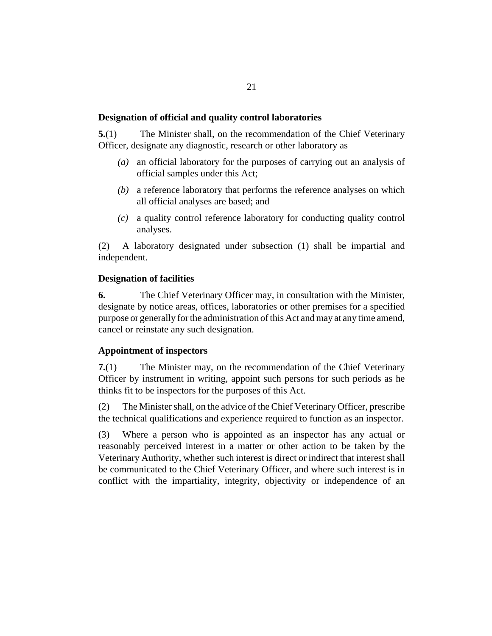### <span id="page-20-0"></span>**Designation of official and quality control laboratories**

The Minister shall, on the recommendation of the Chief Veterinary Officer, designate any diagnostic, research or other laboratory as **5.**(1)

- an official laboratory for the purposes of carrying out an analysis of *(a)* official samples under this Act;
- a reference laboratory that performs the reference analyses on which *(b)* all official analyses are based; and
- a quality control reference laboratory for conducting quality control *(c)* analyses.

A laboratory designated under subsection (1) shall be impartial and independent. (2)

### **Designation of facilities**

The Chief Veterinary Officer may, in consultation with the Minister, designate by notice areas, offices, laboratories or other premises for a specified purpose or generally for the administration of this Act and may at any time amend, cancel or reinstate any such designation. **6.**

### **Appointment of inspectors**

The Minister may, on the recommendation of the Chief Veterinary Officer by instrument in writing, appoint such persons for such periods as he thinks fit to be inspectors for the purposes of this Act. **7.**(1)

The Minister shall, on the advice of the Chief Veterinary Officer, prescribe the technical qualifications and experience required to function as an inspector. (2)

Where a person who is appointed as an inspector has any actual or reasonably perceived interest in a matter or other action to be taken by the Veterinary Authority, whether such interest is direct or indirect that interest shall be communicated to the Chief Veterinary Officer, and where such interest is in conflict with the impartiality, integrity, objectivity or independence of an (3)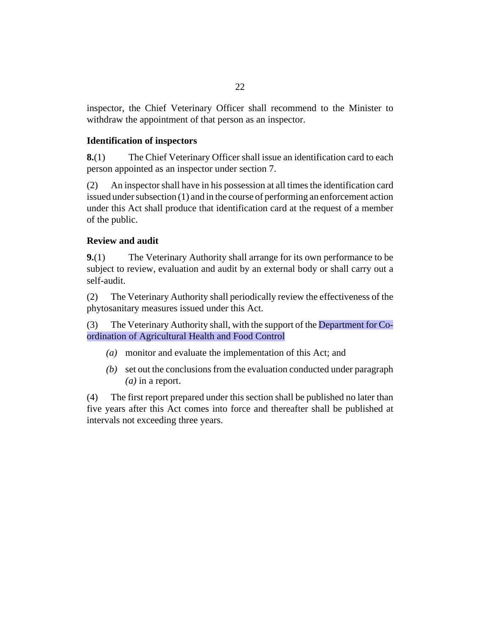<span id="page-21-0"></span>inspector, the Chief Veterinary Officer shall recommend to the Minister to withdraw the appointment of that person as an inspector.

## **Identification of inspectors**

The Chief Veterinary Officer shall issue an identification card to each person appointed as an inspector under section 7. **8.**(1)

An inspector shall have in his possession at all times the identification card issued under subsection (1) and in the course of performing an enforcement action under this Act shall produce that identification card at the request of a member of the public. (2)

### **Review and audit**

The Veterinary Authority shall arrange for its own performance to be subject to review, evaluation and audit by an external body or shall carry out a self-audit. **9.**(1)

The Veterinary Authority shall periodically review the effectiveness of the phytosanitary measures issued under this Act. (2)

The Veterinary Authority shall, with the support of the Department for Coordination of Agricultural Health and Food Control (3)

- monitor and evaluate the implementation of this Act; and *(a)*
- (b) set out the conclusions from the evaluation conducted under paragraph *(a)* in a report.

The first report prepared under this section shall be published no later than five years after this Act comes into force and thereafter shall be published at intervals not exceeding three years. (4)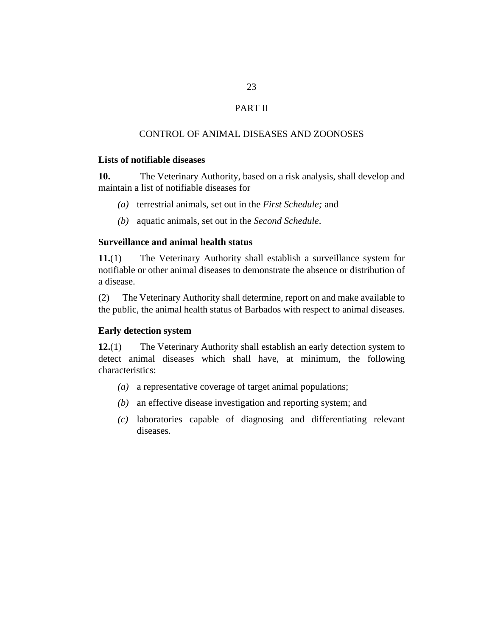# PART II

## CONTROL OF ANIMAL DISEASES AND ZOONOSES

## <span id="page-22-0"></span>**Lists of notifiable diseases**

The Veterinary Authority, based on a risk analysis, shall develop and maintain a list of notifiable diseases for **10.**

- (a) terrestrial animals, set out in the *First Schedule*; and
- (b) aquatic animals, set out in the *Second Schedule*.

## **Surveillance and animal health status**

The Veterinary Authority shall establish a surveillance system for notifiable or other animal diseases to demonstrate the absence or distribution of a disease. **11.**(1)

The Veterinary Authority shall determine, report on and make available to the public, the animal health status of Barbados with respect to animal diseases. (2)

### **Early detection system**

The Veterinary Authority shall establish an early detection system to detect animal diseases which shall have, at minimum, the following characteristics: **12.**(1)

- (a) a representative coverage of target animal populations;
- (b) an effective disease investigation and reporting system; and
- laboratories capable of diagnosing and differentiating relevant *(c)* diseases.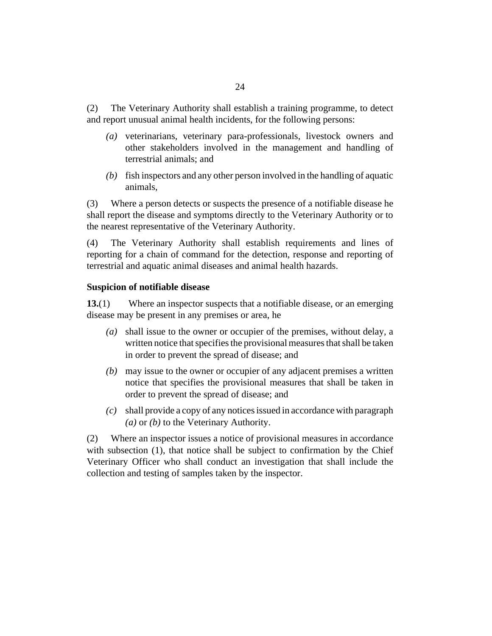<span id="page-23-0"></span>The Veterinary Authority shall establish a training programme, to detect and report unusual animal health incidents, for the following persons: (2)

- (a) veterinarians, veterinary para-professionals, livestock owners and other stakeholders involved in the management and handling of terrestrial animals; and
- fish inspectors and any other person involved in the handling of aquatic *(b)* animals,

Where a person detects or suspects the presence of a notifiable disease he shall report the disease and symptoms directly to the Veterinary Authority or to the nearest representative of the Veterinary Authority. (3)

The Veterinary Authority shall establish requirements and lines of reporting for a chain of command for the detection, response and reporting of terrestrial and aquatic animal diseases and animal health hazards. (4)

### **Suspicion of notifiable disease**

Where an inspector suspects that a notifiable disease, or an emerging disease may be present in any premises or area, he **13.**(1)

- shall issue to the owner or occupier of the premises, without delay, a *(a)* written notice that specifies the provisional measures that shall be taken in order to prevent the spread of disease; and
- may issue to the owner or occupier of any adjacent premises a written *(b)* notice that specifies the provisional measures that shall be taken in order to prevent the spread of disease; and
- shall provide a copy of any notices issued in accordance with paragraph *(c) (a)* or *(b)* to the Veterinary Authority.

Where an inspector issues a notice of provisional measures in accordance with subsection (1), that notice shall be subject to confirmation by the Chief Veterinary Officer who shall conduct an investigation that shall include the collection and testing of samples taken by the inspector. (2)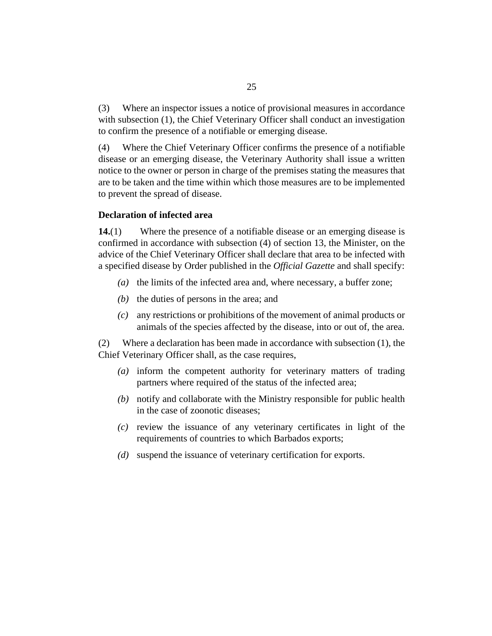<span id="page-24-0"></span>Where an inspector issues a notice of provisional measures in accordance with subsection (1), the Chief Veterinary Officer shall conduct an investigation to confirm the presence of a notifiable or emerging disease. (3)

Where the Chief Veterinary Officer confirms the presence of a notifiable disease or an emerging disease, the Veterinary Authority shall issue a written notice to the owner or person in charge of the premises stating the measures that are to be taken and the time within which those measures are to be implemented to prevent the spread of disease. (4)

#### **Declaration of infected area**

Where the presence of a notifiable disease or an emerging disease is confirmed in accordance with subsection (4) of section 13, the Minister, on the advice of the Chief Veterinary Officer shall declare that area to be infected with a specified disease by Order published in the *Official Gazette* and shall specify: **14.**(1)

- (a) the limits of the infected area and, where necessary, a buffer zone;
- $(b)$  the duties of persons in the area; and
- any restrictions or prohibitions of the movement of animal products or *(c)* animals of the species affected by the disease, into or out of, the area.

Where a declaration has been made in accordance with subsection (1), the Chief Veterinary Officer shall, as the case requires, (2)

- inform the competent authority for veterinary matters of trading *(a)* partners where required of the status of the infected area;
- notify and collaborate with the Ministry responsible for public health *(b)* in the case of zoonotic diseases;
- $r(c)$  review the issuance of any veterinary certificates in light of the requirements of countries to which Barbados exports;
- (d) suspend the issuance of veterinary certification for exports.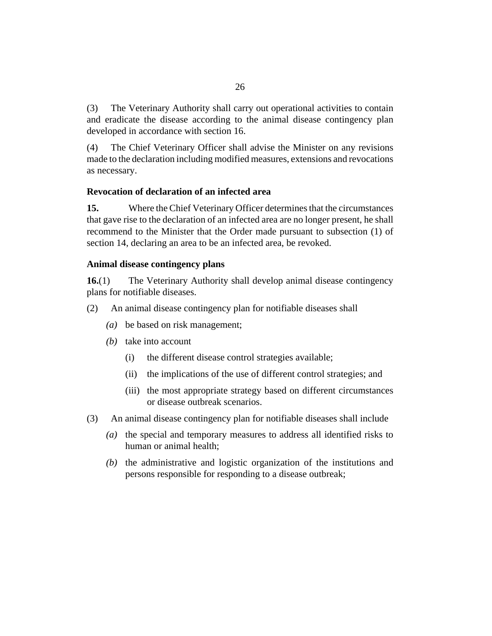<span id="page-25-0"></span>The Veterinary Authority shall carry out operational activities to contain and eradicate the disease according to the animal disease contingency plan developed in accordance with section 16. (3)

The Chief Veterinary Officer shall advise the Minister on any revisions made to the declaration including modified measures, extensions and revocations as necessary. (4)

## **Revocation of declaration of an infected area**

Where the Chief Veterinary Officer determines that the circumstances that gave rise to the declaration of an infected area are no longer present, he shall recommend to the Minister that the Order made pursuant to subsection (1) of section 14, declaring an area to be an infected area, be revoked. **15.**

### **Animal disease contingency plans**

The Veterinary Authority shall develop animal disease contingency plans for notifiable diseases. **16.**(1)

- An animal disease contingency plan for notifiable diseases shall (2)
	- be based on risk management; *(a)*
	- (b) take into account
		- the different disease control strategies available; (i)
		- the implications of the use of different control strategies; and (ii)
		- (iii) the most appropriate strategy based on different circumstances or disease outbreak scenarios.
- An animal disease contingency plan for notifiable diseases shall include (3)
	- (a) the special and temporary measures to address all identified risks to human or animal health;
	- $(t)$  the administrative and logistic organization of the institutions and persons responsible for responding to a disease outbreak;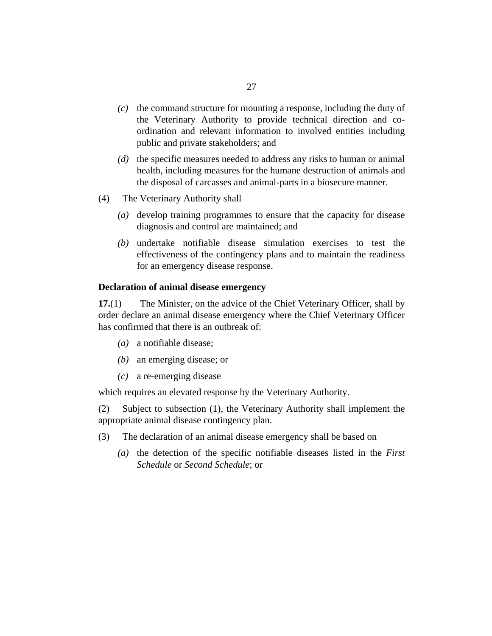- <span id="page-26-0"></span> $(c)$  the command structure for mounting a response, including the duty of the Veterinary Authority to provide technical direction and coordination and relevant information to involved entities including public and private stakeholders; and
- (d) the specific measures needed to address any risks to human or animal health, including measures for the humane destruction of animals and the disposal of carcasses and animal-parts in a biosecure manner.
- The Veterinary Authority shall (4)
	- (a) develop training programmes to ensure that the capacity for disease diagnosis and control are maintained; and
	- undertake notifiable disease simulation exercises to test the *(b)* effectiveness of the contingency plans and to maintain the readiness for an emergency disease response.

## **Declaration of animal disease emergency**

The Minister, on the advice of the Chief Veterinary Officer, shall by order declare an animal disease emergency where the Chief Veterinary Officer has confirmed that there is an outbreak of: **17.**(1)

- a notifiable disease; *(a)*
- an emerging disease; or *(b)*
- a re-emerging disease *(c)*

which requires an elevated response by the Veterinary Authority.

Subject to subsection (1), the Veterinary Authority shall implement the appropriate animal disease contingency plan. (2)

- The declaration of an animal disease emergency shall be based on (3)
	- (a) the detection of the specific notifiable diseases listed in the *First Schedule* or *Second Schedule*; or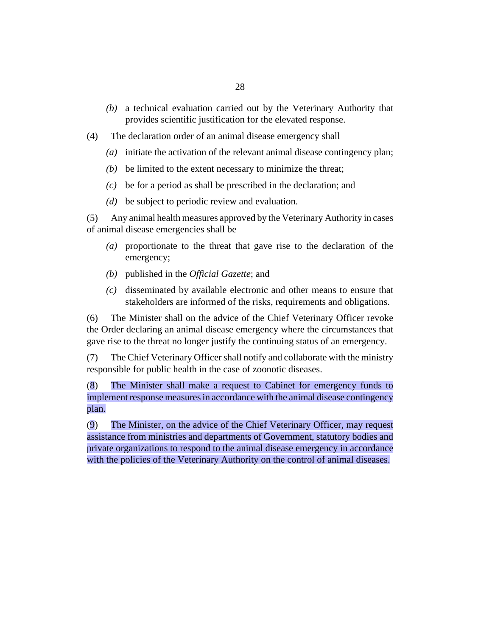- a technical evaluation carried out by the Veterinary Authority that *(b)* provides scientific justification for the elevated response.
- The declaration order of an animal disease emergency shall (4)
	- (a) initiate the activation of the relevant animal disease contingency plan;
	- $(b)$  be limited to the extent necessary to minimize the threat;
	- be for a period as shall be prescribed in the declaration; and *(c)*
	- be subject to periodic review and evaluation. *(d)*

Any animal health measures approved by the Veterinary Authority in cases of animal disease emergencies shall be (5)

- proportionate to the threat that gave rise to the declaration of the *(a)* emergency;
- published in the *Official Gazette*; and *(b)*
- disseminated by available electronic and other means to ensure that *(c)* stakeholders are informed of the risks, requirements and obligations.

The Minister shall on the advice of the Chief Veterinary Officer revoke the Order declaring an animal disease emergency where the circumstances that gave rise to the threat no longer justify the continuing status of an emergency. (6)

The Chief Veterinary Officer shall notify and collaborate with the ministry responsible for public health in the case of zoonotic diseases. (7)

The Minister shall make a request to Cabinet for emergency funds to implement response measures in accordance with the animal disease contingency plan. (8)

The Minister, on the advice of the Chief Veterinary Officer, may request assistance from ministries and departments of Government, statutory bodies and private organizations to respond to the animal disease emergency in accordance with the policies of the Veterinary Authority on the control of animal diseases. (9)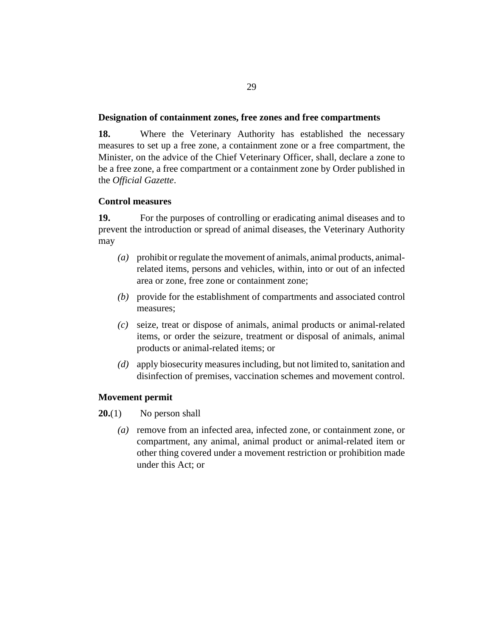### <span id="page-28-0"></span>**Designation of containment zones, free zones and free compartments**

Where the Veterinary Authority has established the necessary measures to set up a free zone, a containment zone or a free compartment, the Minister, on the advice of the Chief Veterinary Officer, shall, declare a zone to be a free zone, a free compartment or a containment zone by Order published in the *Official Gazette*. **18.**

### **Control measures**

For the purposes of controlling or eradicating animal diseases and to prevent the introduction or spread of animal diseases, the Veterinary Authority may **19.**

- prohibit or regulate the movement of animals, animal products, animal-*(a)* related items, persons and vehicles, within, into or out of an infected area or zone, free zone or containment zone;
- provide for the establishment of compartments and associated control *(b)* measures;
- seize, treat or dispose of animals, animal products or animal-related *(c)* items, or order the seizure, treatment or disposal of animals, animal products or animal-related items; or
- apply biosecurity measures including, but not limited to, sanitation and *(d)* disinfection of premises, vaccination schemes and movement control.

### **Movement permit**

- No person shall **20.**(1)
	- (a) remove from an infected area, infected zone, or containment zone, or compartment, any animal, animal product or animal-related item or other thing covered under a movement restriction or prohibition made under this Act; or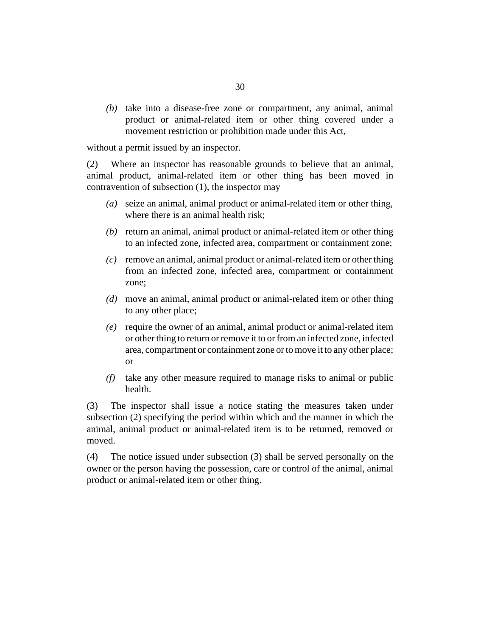(b) take into a disease-free zone or compartment, any animal, animal product or animal-related item or other thing covered under a movement restriction or prohibition made under this Act,

without a permit issued by an inspector.

Where an inspector has reasonable grounds to believe that an animal, animal product, animal-related item or other thing has been moved in contravention of subsection (1), the inspector may (2)

- seize an animal, animal product or animal-related item or other thing, *(a)* where there is an animal health risk:
- (b) return an animal, animal product or animal-related item or other thing to an infected zone, infected area, compartment or containment zone;
- remove an animal, animal product or animal-related item or other thing *(c)* from an infected zone, infected area, compartment or containment zone;
- move an animal, animal product or animal-related item or other thing *(d)* to any other place;
- require the owner of an animal, animal product or animal-related item *(e)* or other thing to return or remove it to or from an infected zone, infected area, compartment or containment zone or to move it to any other place; or
- take any other measure required to manage risks to animal or public *(f)* health.

The inspector shall issue a notice stating the measures taken under subsection (2) specifying the period within which and the manner in which the animal, animal product or animal-related item is to be returned, removed or moved. (3)

The notice issued under subsection (3) shall be served personally on the owner or the person having the possession, care or control of the animal, animal product or animal-related item or other thing. (4)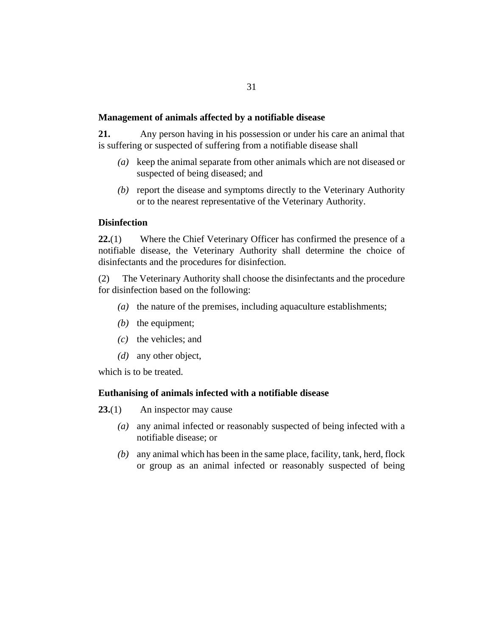#### <span id="page-30-0"></span>**Management of animals affected by a notifiable disease**

Any person having in his possession or under his care an animal that is suffering or suspected of suffering from a notifiable disease shall **21.**

- keep the animal separate from other animals which are not diseased or *(a)* suspected of being diseased; and
- (b) report the disease and symptoms directly to the Veterinary Authority or to the nearest representative of the Veterinary Authority.

### **Disinfection**

Where the Chief Veterinary Officer has confirmed the presence of a notifiable disease, the Veterinary Authority shall determine the choice of disinfectants and the procedures for disinfection. **22.**(1)

The Veterinary Authority shall choose the disinfectants and the procedure for disinfection based on the following: (2)

- ( $a$ ) the nature of the premises, including aquaculture establishments;
- $(b)$  the equipment;
- the vehicles; and *(c)*
- (*d*) any other object,

which is to be treated.

## **Euthanising of animals infected with a notifiable disease**

An inspector may cause **23.**(1)

- any animal infected or reasonably suspected of being infected with a *(a)* notifiable disease; or
- any animal which has been in the same place, facility, tank, herd, flock *(b)* or group as an animal infected or reasonably suspected of being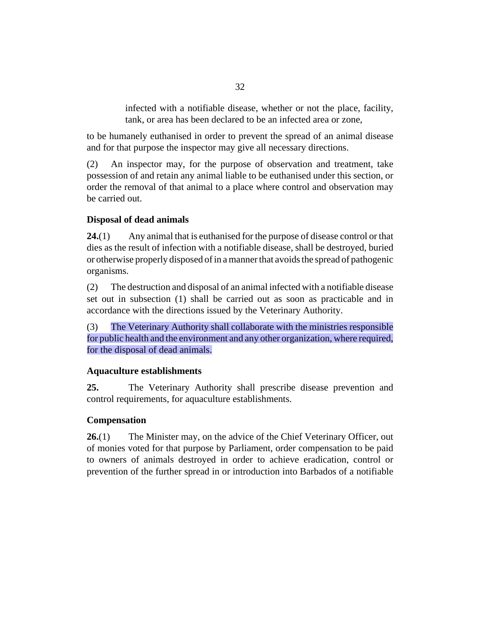infected with a notifiable disease, whether or not the place, facility, tank, or area has been declared to be an infected area or zone,

<span id="page-31-0"></span>to be humanely euthanised in order to prevent the spread of an animal disease and for that purpose the inspector may give all necessary directions.

An inspector may, for the purpose of observation and treatment, take possession of and retain any animal liable to be euthanised under this section, or order the removal of that animal to a place where control and observation may be carried out. (2)

# **Disposal of dead animals**

Any animal that is euthanised for the purpose of disease control or that dies as the result of infection with a notifiable disease, shall be destroyed, buried or otherwise properly disposed of in a manner that avoids the spread of pathogenic organisms. **24.**(1)

The destruction and disposal of an animal infected with a notifiable disease set out in subsection (1) shall be carried out as soon as practicable and in accordance with the directions issued by the Veterinary Authority. (2)

The Veterinary Authority shall collaborate with the ministries responsible for public health and the environment and any other organization, where required, for the disposal of dead animals. (3)

## **Aquaculture establishments**

The Veterinary Authority shall prescribe disease prevention and control requirements, for aquaculture establishments. **25.**

## **Compensation**

The Minister may, on the advice of the Chief Veterinary Officer, out of monies voted for that purpose by Parliament, order compensation to be paid to owners of animals destroyed in order to achieve eradication, control or prevention of the further spread in or introduction into Barbados of a notifiable **26.**(1)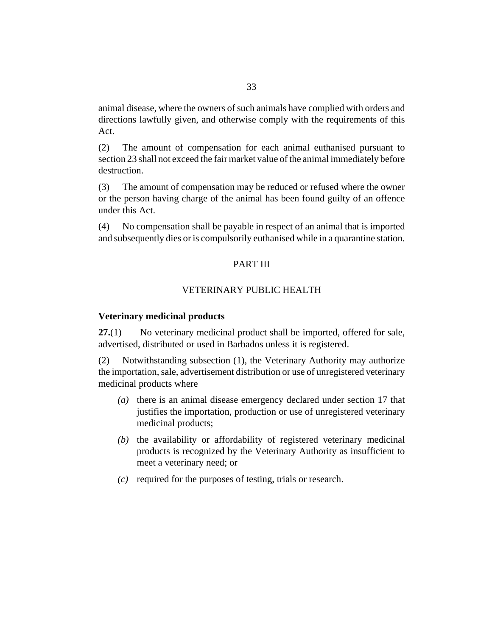<span id="page-32-0"></span>animal disease, where the owners of such animals have complied with orders and directions lawfully given, and otherwise comply with the requirements of this Act.

The amount of compensation for each animal euthanised pursuant to section 23 shall not exceed the fair market value of the animal immediately before destruction. (2)

The amount of compensation may be reduced or refused where the owner or the person having charge of the animal has been found guilty of an offence under this Act. (3)

No compensation shall be payable in respect of an animal that is imported and subsequently dies or is compulsorily euthanised while in a quarantine station. (4)

## PART III

### VETERINARY PUBLIC HEALTH

#### **Veterinary medicinal products**

No veterinary medicinal product shall be imported, offered for sale, advertised, distributed or used in Barbados unless it is registered. **27.**(1)

Notwithstanding subsection (1), the Veterinary Authority may authorize the importation, sale, advertisement distribution or use of unregistered veterinary medicinal products where (2)

- (a) there is an animal disease emergency declared under section 17 that justifies the importation, production or use of unregistered veterinary medicinal products;
- (b) the availability or affordability of registered veterinary medicinal products is recognized by the Veterinary Authority as insufficient to meet a veterinary need; or
- required for the purposes of testing, trials or research. *(c)*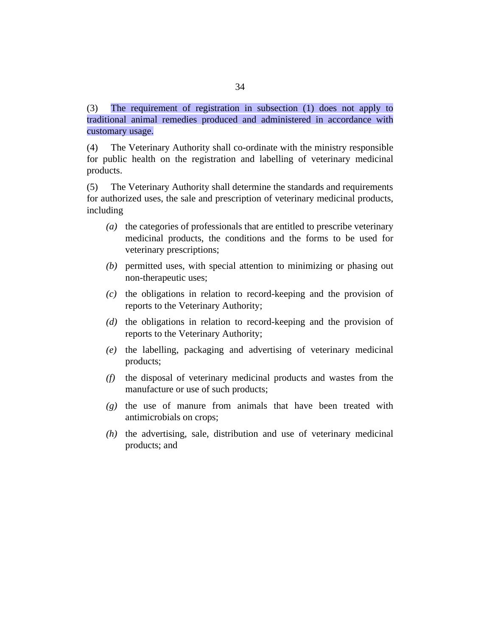The requirement of registration in subsection (1) does not apply to traditional animal remedies produced and administered in accordance with customary usage. (3)

The Veterinary Authority shall co-ordinate with the ministry responsible for public health on the registration and labelling of veterinary medicinal products. (4)

The Veterinary Authority shall determine the standards and requirements for authorized uses, the sale and prescription of veterinary medicinal products, including (5)

- the categories of professionals that are entitled to prescribe veterinary *(a)* medicinal products, the conditions and the forms to be used for veterinary prescriptions;
- permitted uses, with special attention to minimizing or phasing out *(b)* non-therapeutic uses;
- $\alpha$  the obligations in relation to record-keeping and the provision of reports to the Veterinary Authority;
- (d) the obligations in relation to record-keeping and the provision of reports to the Veterinary Authority;
- the labelling, packaging and advertising of veterinary medicinal *(e)* products;
- (f) the disposal of veterinary medicinal products and wastes from the manufacture or use of such products;
- (g) the use of manure from animals that have been treated with antimicrobials on crops;
- $(h)$  the advertising, sale, distribution and use of veterinary medicinal products; and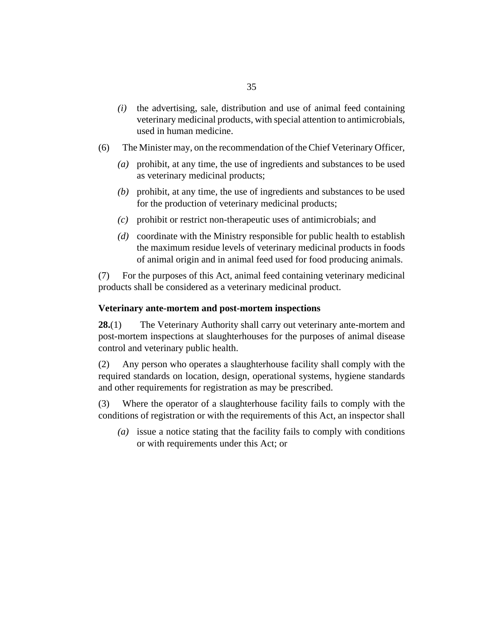- <span id="page-34-0"></span>the advertising, sale, distribution and use of animal feed containing veterinary medicinal products, with special attention to antimicrobials, used in human medicine. *(i)*
- The Minister may, on the recommendation of the Chief Veterinary Officer, (6)
	- prohibit, at any time, the use of ingredients and substances to be used *(a)* as veterinary medicinal products;
	- prohibit, at any time, the use of ingredients and substances to be used *(b)* for the production of veterinary medicinal products;
	- prohibit or restrict non-therapeutic uses of antimicrobials; and *(c)*
	- coordinate with the Ministry responsible for public health to establish *(d)* the maximum residue levels of veterinary medicinal products in foods of animal origin and in animal feed used for food producing animals.

For the purposes of this Act, animal feed containing veterinary medicinal products shall be considered as a veterinary medicinal product. (7)

### **Veterinary ante-mortem and post-mortem inspections**

The Veterinary Authority shall carry out veterinary ante-mortem and post-mortem inspections at slaughterhouses for the purposes of animal disease control and veterinary public health. **28.**(1)

Any person who operates a slaughterhouse facility shall comply with the required standards on location, design, operational systems, hygiene standards and other requirements for registration as may be prescribed. (2)

Where the operator of a slaughterhouse facility fails to comply with the conditions of registration or with the requirements of this Act, an inspector shall (3)

issue a notice stating that the facility fails to comply with conditions *(a)* or with requirements under this Act; or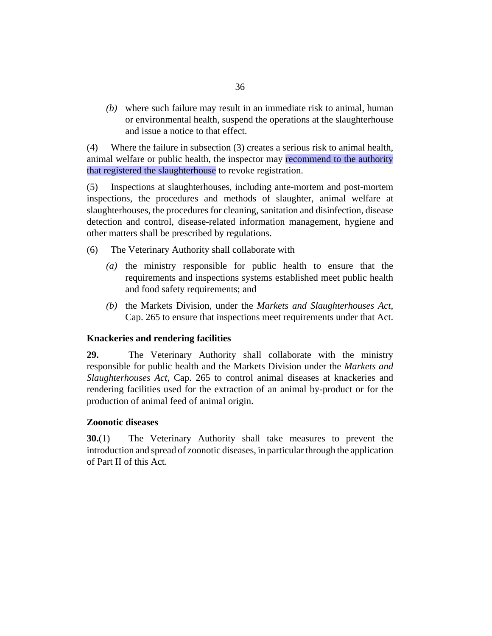<span id="page-35-0"></span>where such failure may result in an immediate risk to animal, human *(b)* or environmental health, suspend the operations at the slaughterhouse and issue a notice to that effect.

Where the failure in subsection (3) creates a serious risk to animal health, animal welfare or public health, the inspector may recommend to the authority that registered the slaughterhouse to revoke registration. (4)

Inspections at slaughterhouses, including ante-mortem and post-mortem inspections, the procedures and methods of slaughter, animal welfare at slaughterhouses, the procedures for cleaning, sanitation and disinfection, disease detection and control, disease-related information management, hygiene and other matters shall be prescribed by regulations. (5)

- The Veterinary Authority shall collaborate with (6)
	- $(a)$  the ministry responsible for public health to ensure that the requirements and inspections systems established meet public health and food safety requirements; and
	- (b) the Markets Division, under the *[Markets and Slaughterhouses Act](http://barbadosparliament-laws.com/en/showdoc/cs/265)*, [Cap. 265](http://barbadosparliament-laws.com/en/showdoc/cs/265) to ensure that inspections meet requirements under that Act.

## **Knackeries and rendering facilities**

The Veterinary Authority shall collaborate with the ministry responsible for public health and the Markets Division under the *[Markets and](http://barbadosparliament-laws.com/en/showdoc/cs/265) [Slaughterhouses Act](http://barbadosparliament-laws.com/en/showdoc/cs/265)*, Cap. 265 to control animal diseases at knackeries and rendering facilities used for the extraction of an animal by-product or for the production of animal feed of animal origin. **29.**

### **Zoonotic diseases**

The Veterinary Authority shall take measures to prevent the introduction and spread of zoonotic diseases, in particular through the application of Part II of this Act. **30.**(1)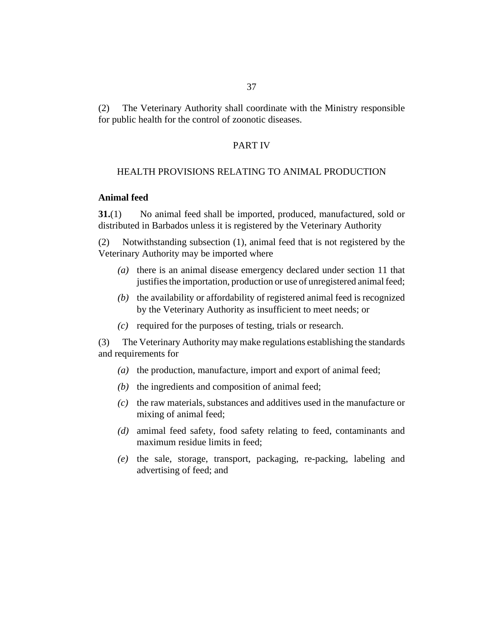The Veterinary Authority shall coordinate with the Ministry responsible for public health for the control of zoonotic diseases. (2)

# PART IV

### HEALTH PROVISIONS RELATING TO ANIMAL PRODUCTION

#### **Animal feed**

No animal feed shall be imported, produced, manufactured, sold or distributed in Barbados unless it is registered by the Veterinary Authority **31.**(1)

Notwithstanding subsection (1), animal feed that is not registered by the Veterinary Authority may be imported where (2)

- (a) there is an animal disease emergency declared under section 11 that justifies the importation, production or use of unregistered animal feed;
- (b) the availability or affordability of registered animal feed is recognized by the Veterinary Authority as insufficient to meet needs; or
- (c) required for the purposes of testing, trials or research.

The Veterinary Authority may make regulations establishing the standards and requirements for (3)

- (a) the production, manufacture, import and export of animal feed;
- $(b)$  the ingredients and composition of animal feed;
- $\alpha$  the raw materials, substances and additives used in the manufacture or mixing of animal feed;
- amimal feed safety, food safety relating to feed, contaminants and *(d)* maximum residue limits in feed;
- (e) the sale, storage, transport, packaging, re-packing, labeling and advertising of feed; and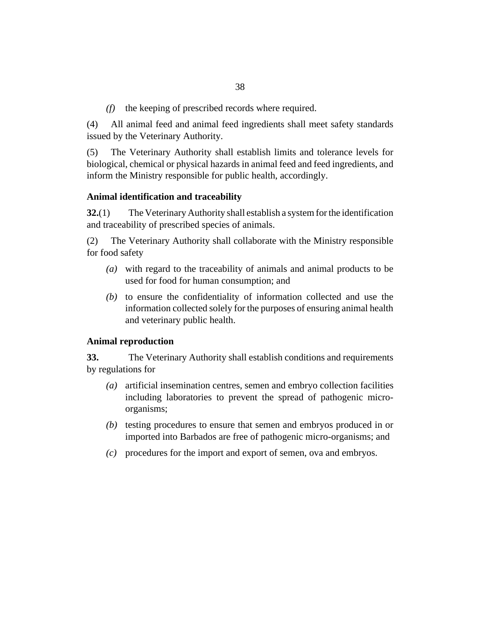the keeping of prescribed records where required. *(f)*

All animal feed and animal feed ingredients shall meet safety standards issued by the Veterinary Authority. (4)

The Veterinary Authority shall establish limits and tolerance levels for biological, chemical or physical hazards in animal feed and feed ingredients, and inform the Ministry responsible for public health, accordingly. (5)

### **Animal identification and traceability**

The Veterinary Authority shall establish a system for the identification and traceability of prescribed species of animals. **32.**(1)

The Veterinary Authority shall collaborate with the Ministry responsible for food safety (2)

- with regard to the traceability of animals and animal products to be *(a)* used for food for human consumption; and
- $(b)$  to ensure the confidentiality of information collected and use the information collected solely for the purposes of ensuring animal health and veterinary public health.

### **Animal reproduction**

The Veterinary Authority shall establish conditions and requirements by regulations for **33.**

- artificial insemination centres, semen and embryo collection facilities *(a)* including laboratories to prevent the spread of pathogenic microorganisms;
- (b) testing procedures to ensure that semen and embryos produced in or imported into Barbados are free of pathogenic micro-organisms; and
- procedures for the import and export of semen, ova and embryos. *(c)*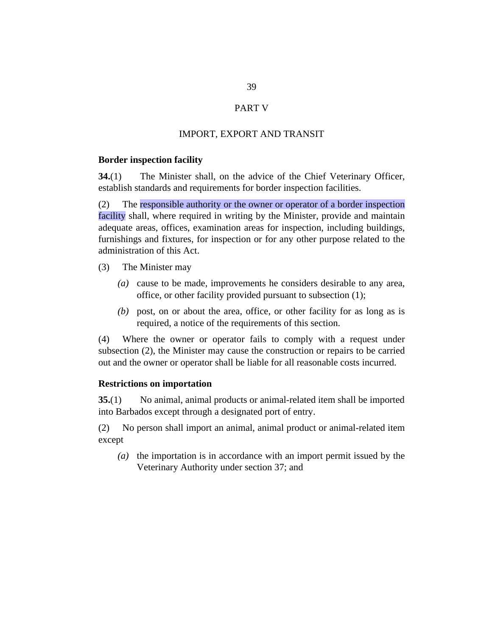# PART V

# IMPORT, EXPORT AND TRANSIT

#### **Border inspection facility**

The Minister shall, on the advice of the Chief Veterinary Officer, establish standards and requirements for border inspection facilities. **34.**(1)

The responsible authority or the owner or operator of a border inspection facility shall, where required in writing by the Minister, provide and maintain adequate areas, offices, examination areas for inspection, including buildings, furnishings and fixtures, for inspection or for any other purpose related to the administration of this Act. (2)

- The Minister may (3)
	- cause to be made, improvements he considers desirable to any area, *(a)* office, or other facility provided pursuant to subsection (1);
	- (b) post, on or about the area, office, or other facility for as long as is required, a notice of the requirements of this section.

Where the owner or operator fails to comply with a request under subsection (2), the Minister may cause the construction or repairs to be carried out and the owner or operator shall be liable for all reasonable costs incurred. (4)

#### **Restrictions on importation**

No animal, animal products or animal-related item shall be imported into Barbados except through a designated port of entry. **35.**(1)

No person shall import an animal, animal product or animal-related item except (2)

( $a$ ) the importation is in accordance with an import permit issued by the Veterinary Authority under section 37; and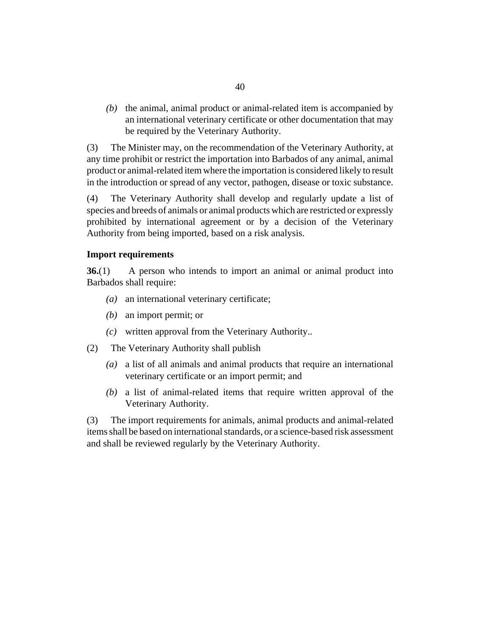$(b)$  the animal, animal product or animal-related item is accompanied by an international veterinary certificate or other documentation that may be required by the Veterinary Authority.

The Minister may, on the recommendation of the Veterinary Authority, at any time prohibit or restrict the importation into Barbados of any animal, animal product or animal-related item where the importation is considered likely to result in the introduction or spread of any vector, pathogen, disease or toxic substance. (3)

The Veterinary Authority shall develop and regularly update a list of species and breeds of animals or animal products which are restricted or expressly prohibited by international agreement or by a decision of the Veterinary Authority from being imported, based on a risk analysis. (4)

### **Import requirements**

A person who intends to import an animal or animal product into Barbados shall require: **36.**(1)

- an international veterinary certificate; *(a)*
- an import permit; or *(b)*
- written approval from the Veterinary Authority.. *(c)*
- The Veterinary Authority shall publish (2)
	- a list of all animals and animal products that require an international *(a)* veterinary certificate or an import permit; and
	- a list of animal-related items that require written approval of the *(b)* Veterinary Authority.

The import requirements for animals, animal products and animal-related items shall be based on international standards, or a science-based risk assessment and shall be reviewed regularly by the Veterinary Authority. (3)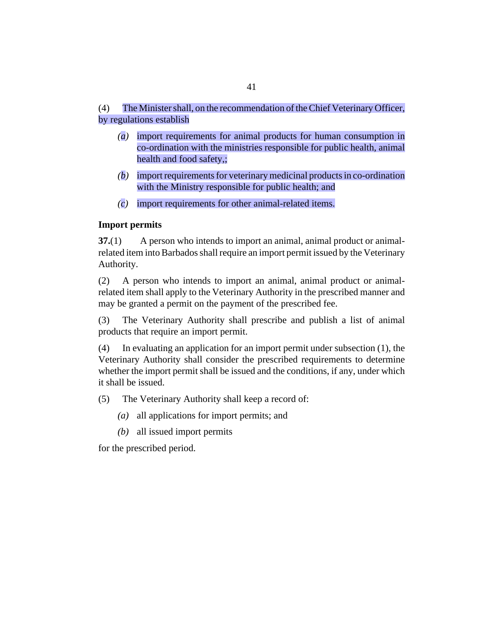#### The Minister shall, on the recommendation of the Chief Veterinary Officer, by regulations establish (4)

- import requirements for animal products for human consumption in *(a)* co-ordination with the ministries responsible for public health, animal health and food safety,;
- import requirements for veterinary medicinal products in co-ordination *(b)* with the Ministry responsible for public health; and
- import requirements for other animal-related items. *(c)*

# **Import permits**

A person who intends to import an animal, animal product or animalrelated item into Barbados shall require an import permit issued by the Veterinary Authority. **37.**(1)

A person who intends to import an animal, animal product or animalrelated item shall apply to the Veterinary Authority in the prescribed manner and may be granted a permit on the payment of the prescribed fee. (2)

The Veterinary Authority shall prescribe and publish a list of animal products that require an import permit. (3)

In evaluating an application for an import permit under subsection (1), the Veterinary Authority shall consider the prescribed requirements to determine whether the import permit shall be issued and the conditions, if any, under which it shall be issued. (4)

The Veterinary Authority shall keep a record of: (5)

- all applications for import permits; and *(a)*
- all issued import permits *(b)*

for the prescribed period.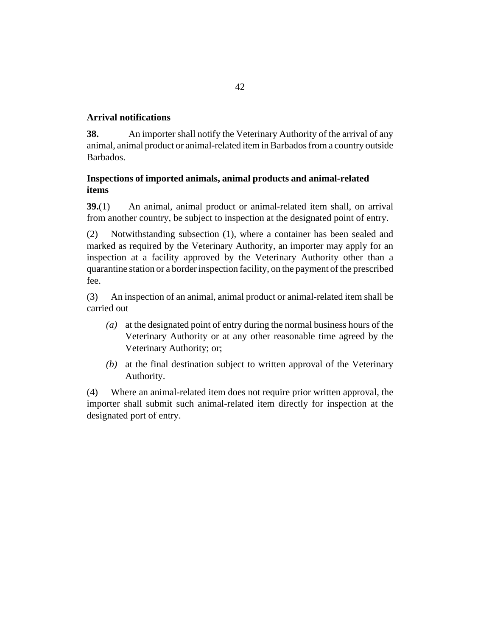# **Arrival notifications**

An importer shall notify the Veterinary Authority of the arrival of any animal, animal product or animal-related item in Barbados from a country outside Barbados. **38.**

# **Inspections of imported animals, animal products and animal-related items**

An animal, animal product or animal-related item shall, on arrival from another country, be subject to inspection at the designated point of entry. **39.**(1)

Notwithstanding subsection (1), where a container has been sealed and marked as required by the Veterinary Authority, an importer may apply for an inspection at a facility approved by the Veterinary Authority other than a quarantine station or a border inspection facility, on the payment of the prescribed fee. (2)

An inspection of an animal, animal product or animal-related item shall be carried out (3)

- at the designated point of entry during the normal business hours of the *(a)* Veterinary Authority or at any other reasonable time agreed by the Veterinary Authority; or;
- at the final destination subject to written approval of the Veterinary *(b)* Authority.

Where an animal-related item does not require prior written approval, the importer shall submit such animal-related item directly for inspection at the designated port of entry. (4)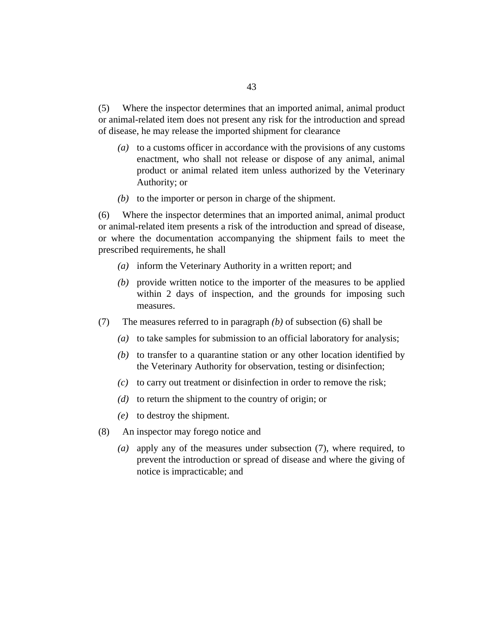Where the inspector determines that an imported animal, animal product or animal-related item does not present any risk for the introduction and spread of disease, he may release the imported shipment for clearance (5)

- to a customs officer in accordance with the provisions of any customs *(a)* enactment, who shall not release or dispose of any animal, animal product or animal related item unless authorized by the Veterinary Authority; or
- $(b)$  to the importer or person in charge of the shipment.

Where the inspector determines that an imported animal, animal product or animal-related item presents a risk of the introduction and spread of disease, or where the documentation accompanying the shipment fails to meet the prescribed requirements, he shall (6)

- inform the Veterinary Authority in a written report; and *(a)*
- (b) provide written notice to the importer of the measures to be applied within 2 days of inspection, and the grounds for imposing such measures.
- The measures referred to in paragraph *(b)* of subsection (6) shall be (7)
	- to take samples for submission to an official laboratory for analysis; *(a)*
	- $(b)$  to transfer to a quarantine station or any other location identified by the Veterinary Authority for observation, testing or disinfection;
	- $(c)$  to carry out treatment or disinfection in order to remove the risk;
	- $(d)$  to return the shipment to the country of origin; or
	- to destroy the shipment. *(e)*
- An inspector may forego notice and (8)
	- (a) apply any of the measures under subsection (7), where required, to prevent the introduction or spread of disease and where the giving of notice is impracticable; and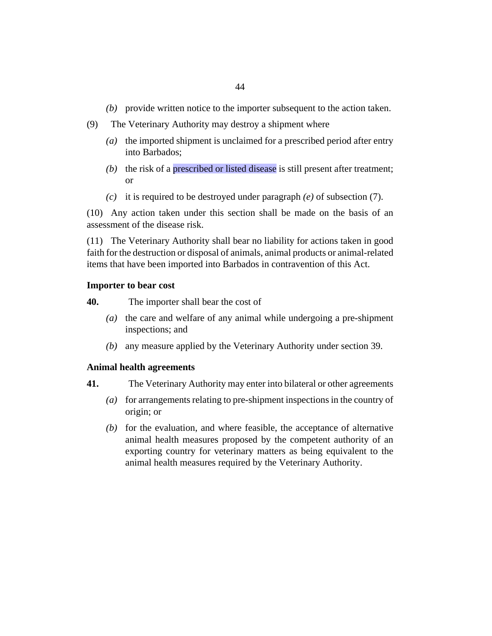- (b) provide written notice to the importer subsequent to the action taken.
- The Veterinary Authority may destroy a shipment where (9)
	- (a) the imported shipment is unclaimed for a prescribed period after entry into Barbados;
	- (b) the risk of a prescribed or listed disease is still present after treatment; or
	- $(c)$  it is required to be destroyed under paragraph  $(e)$  of subsection  $(7)$ .

(10) Any action taken under this section shall be made on the basis of an assessment of the disease risk.

The Veterinary Authority shall bear no liability for actions taken in good (11) faith for the destruction or disposal of animals, animal products or animal-related items that have been imported into Barbados in contravention of this Act.

#### **Importer to bear cost**

The importer shall bear the cost of **40.**

- (a) the care and welfare of any animal while undergoing a pre-shipment inspections; and
- any measure applied by the Veterinary Authority under section 39. *(b)*

### **Animal health agreements**

- The Veterinary Authority may enter into bilateral or other agreements **41.**
	- for arrangements relating to pre-shipment inspections in the country of *(a)* origin; or
	- $f(b)$  for the evaluation, and where feasible, the acceptance of alternative animal health measures proposed by the competent authority of an exporting country for veterinary matters as being equivalent to the animal health measures required by the Veterinary Authority.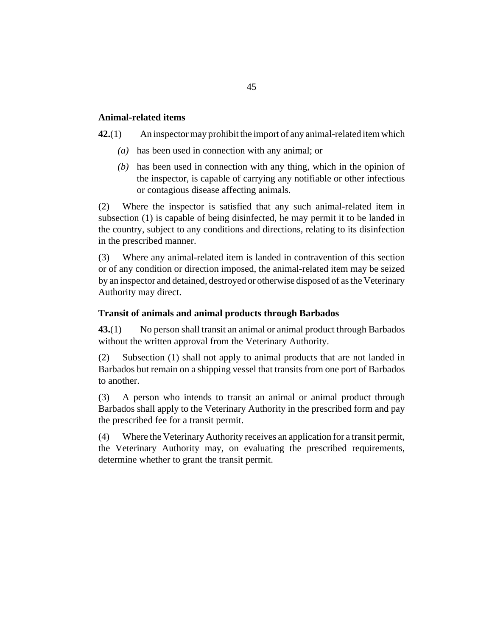# **Animal-related items**

An inspector may prohibit the import of any animal-related item which **42.**(1)

- (a) has been used in connection with any animal; or
- $(b)$  has been used in connection with any thing, which in the opinion of the inspector, is capable of carrying any notifiable or other infectious or contagious disease affecting animals.

Where the inspector is satisfied that any such animal-related item in subsection (1) is capable of being disinfected, he may permit it to be landed in the country, subject to any conditions and directions, relating to its disinfection in the prescribed manner. (2)

Where any animal-related item is landed in contravention of this section or of any condition or direction imposed, the animal-related item may be seized by an inspector and detained, destroyed or otherwise disposed of as the Veterinary Authority may direct. (3)

### **Transit of animals and animal products through Barbados**

No person shall transit an animal or animal product through Barbados without the written approval from the Veterinary Authority. **43.**(1)

Subsection (1) shall not apply to animal products that are not landed in Barbados but remain on a shipping vessel that transits from one port of Barbados to another. (2)

A person who intends to transit an animal or animal product through Barbados shall apply to the Veterinary Authority in the prescribed form and pay the prescribed fee for a transit permit. (3)

Where the Veterinary Authority receives an application for a transit permit, the Veterinary Authority may, on evaluating the prescribed requirements, determine whether to grant the transit permit. (4)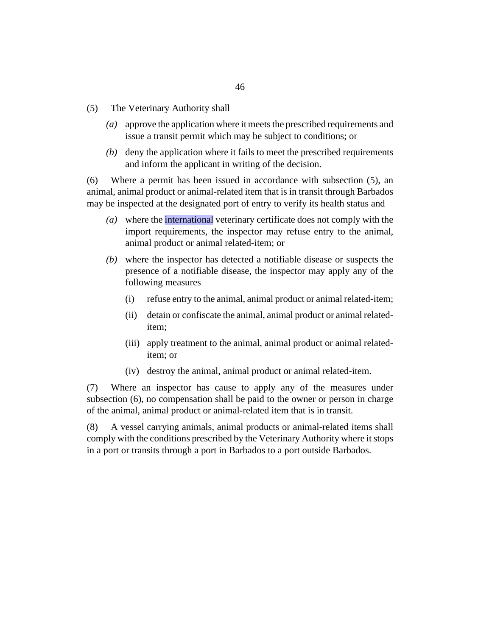- The Veterinary Authority shall (5)
	- approve the application where it meets the prescribed requirements and *(a)* issue a transit permit which may be subject to conditions; or
	- (b) deny the application where it fails to meet the prescribed requirements and inform the applicant in writing of the decision.

Where a permit has been issued in accordance with subsection (5), an animal, animal product or animal-related item that is in transit through Barbados may be inspected at the designated port of entry to verify its health status and (6)

- where the international veterinary certificate does not comply with the *(a)* import requirements, the inspector may refuse entry to the animal, animal product or animal related-item; or
- where the inspector has detected a notifiable disease or suspects the *(b)* presence of a notifiable disease, the inspector may apply any of the following measures
	- refuse entry to the animal, animal product or animal related-item; (i)
	- detain or confiscate the animal, animal product or animal relateditem; (ii)
	- (iii) apply treatment to the animal, animal product or animal relateditem; or
	- (iv) destroy the animal, animal product or animal related-item.

Where an inspector has cause to apply any of the measures under subsection (6), no compensation shall be paid to the owner or person in charge of the animal, animal product or animal-related item that is in transit. (7)

A vessel carrying animals, animal products or animal-related items shall comply with the conditions prescribed by the Veterinary Authority where it stops in a port or transits through a port in Barbados to a port outside Barbados. (8)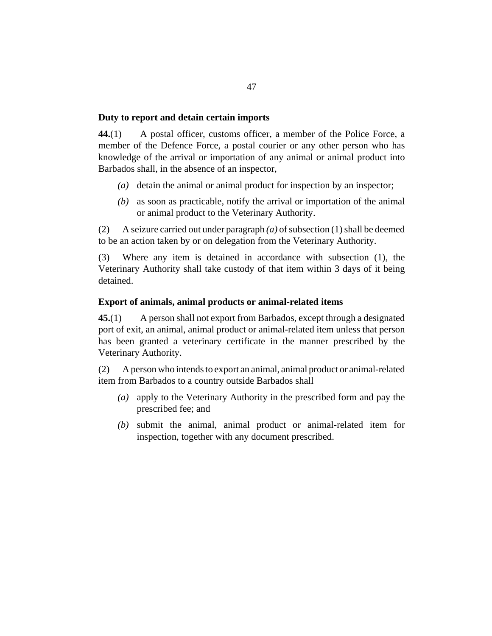### **Duty to report and detain certain imports**

A postal officer, customs officer, a member of the Police Force, a member of the Defence Force, a postal courier or any other person who has knowledge of the arrival or importation of any animal or animal product into Barbados shall, in the absence of an inspector, **44.**(1)

- (a) detain the animal or animal product for inspection by an inspector;
- as soon as practicable, notify the arrival or importation of the animal *(b)* or animal product to the Veterinary Authority.

A seizure carried out under paragraph *(a)* of subsection (1) shall be deemed to be an action taken by or on delegation from the Veterinary Authority. (2)

Where any item is detained in accordance with subsection (1), the Veterinary Authority shall take custody of that item within 3 days of it being detained. (3)

# **Export of animals, animal products or animal-related items**

A person shall not export from Barbados, except through a designated port of exit, an animal, animal product or animal-related item unless that person has been granted a veterinary certificate in the manner prescribed by the Veterinary Authority. **45.**(1)

A person who intends to export an animal, animal product or animal-related item from Barbados to a country outside Barbados shall (2)

- (a) apply to the Veterinary Authority in the prescribed form and pay the prescribed fee; and
- submit the animal, animal product or animal-related item for *(b)* inspection, together with any document prescribed.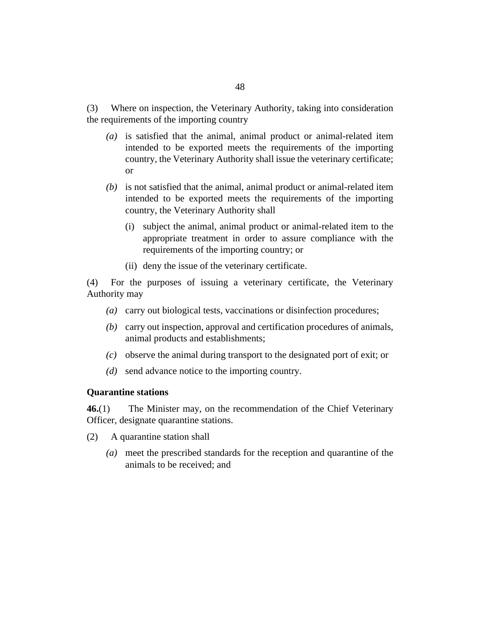Where on inspection, the Veterinary Authority, taking into consideration the requirements of the importing country (3)

- (a) is satisfied that the animal, animal product or animal-related item intended to be exported meets the requirements of the importing country, the Veterinary Authority shall issue the veterinary certificate; or
- (b) is not satisfied that the animal, animal product or animal-related item intended to be exported meets the requirements of the importing country, the Veterinary Authority shall
	- (i) subject the animal, animal product or animal-related item to the appropriate treatment in order to assure compliance with the requirements of the importing country; or
	- (ii) deny the issue of the veterinary certificate.

For the purposes of issuing a veterinary certificate, the Veterinary Authority may (4)

- carry out biological tests, vaccinations or disinfection procedures; *(a)*
- carry out inspection, approval and certification procedures of animals, *(b)* animal products and establishments;
- observe the animal during transport to the designated port of exit; or *(c)*
- (*d*) send advance notice to the importing country.

#### **Quarantine stations**

The Minister may, on the recommendation of the Chief Veterinary Officer, designate quarantine stations. **46.**(1)

- A quarantine station shall (2)
	- meet the prescribed standards for the reception and quarantine of the *(a)* animals to be received; and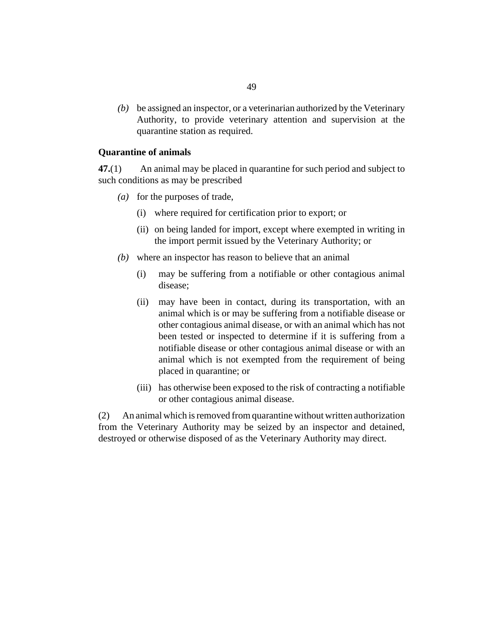be assigned an inspector, or a veterinarian authorized by the Veterinary *(b)* Authority, to provide veterinary attention and supervision at the quarantine station as required.

### **Quarantine of animals**

An animal may be placed in quarantine for such period and subject to such conditions as may be prescribed **47.**(1)

- (a) for the purposes of trade,
	- where required for certification prior to export; or (i)
	- (ii) on being landed for import, except where exempted in writing in the import permit issued by the Veterinary Authority; or
- where an inspector has reason to believe that an animal *(b)*
	- may be suffering from a notifiable or other contagious animal disease; (i)
	- (ii) may have been in contact, during its transportation, with an animal which is or may be suffering from a notifiable disease or other contagious animal disease, or with an animal which has not been tested or inspected to determine if it is suffering from a notifiable disease or other contagious animal disease or with an animal which is not exempted from the requirement of being placed in quarantine; or
	- (iii) has otherwise been exposed to the risk of contracting a notifiable or other contagious animal disease.

An animal which is removed from quarantine without written authorization from the Veterinary Authority may be seized by an inspector and detained, destroyed or otherwise disposed of as the Veterinary Authority may direct. (2)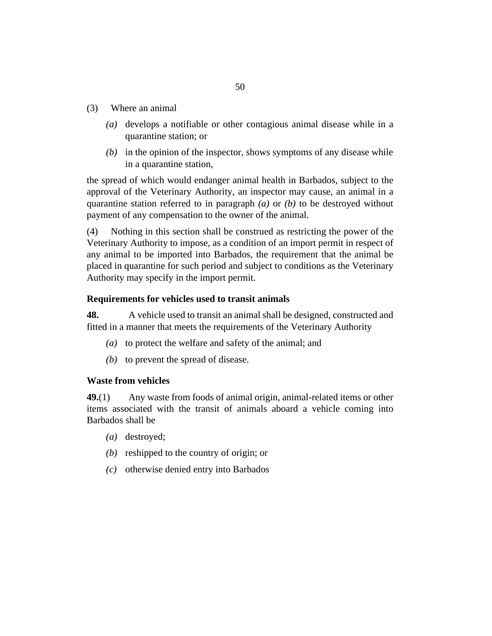- Where an animal (3)
	- (a) develops a notifiable or other contagious animal disease while in a quarantine station; or
	- $(b)$  in the opinion of the inspector, shows symptoms of any disease while in a quarantine station,

the spread of which would endanger animal health in Barbados, subject to the approval of the Veterinary Authority, an inspector may cause, an animal in a quarantine station referred to in paragraph *(a)* or *(b)* to be destroyed without payment of any compensation to the owner of the animal.

Nothing in this section shall be construed as restricting the power of the Veterinary Authority to impose, as a condition of an import permit in respect of any animal to be imported into Barbados, the requirement that the animal be placed in quarantine for such period and subject to conditions as the Veterinary Authority may specify in the import permit. (4)

# **Requirements for vehicles used to transit animals**

A vehicle used to transit an animal shall be designed, constructed and fitted in a manner that meets the requirements of the Veterinary Authority **48.**

- (a) to protect the welfare and safety of the animal; and
- $(b)$  to prevent the spread of disease.

### **Waste from vehicles**

Any waste from foods of animal origin, animal-related items or other items associated with the transit of animals aboard a vehicle coming into Barbados shall be **49.**(1)

- (a) destroyed;
- (b) reshipped to the country of origin; or
- otherwise denied entry into Barbados *(c)*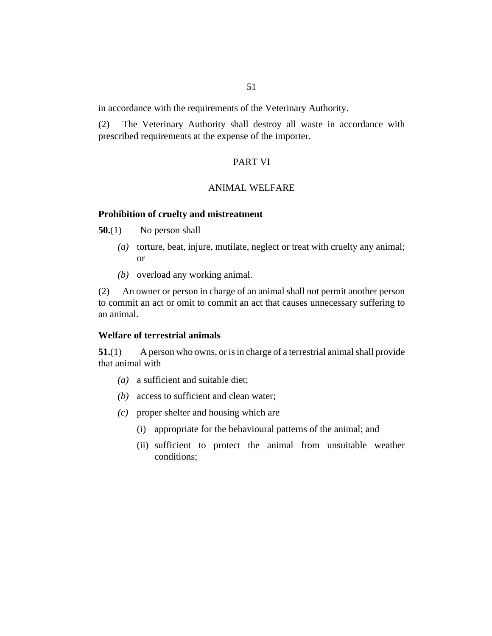in accordance with the requirements of the Veterinary Authority.

The Veterinary Authority shall destroy all waste in accordance with prescribed requirements at the expense of the importer. (2)

## PART VI

### ANIMAL WELFARE

#### **Prohibition of cruelty and mistreatment**

No person shall **50.**(1)

- (a) torture, beat, injure, mutilate, neglect or treat with cruelty any animal; or
- (b) overload any working animal.

An owner or person in charge of an animal shall not permit another person to commit an act or omit to commit an act that causes unnecessary suffering to an animal. (2)

#### **Welfare of terrestrial animals**

A person who owns, or is in charge of a terrestrial animal shall provide that animal with **51.**(1)

- (a) a sufficient and suitable diet;
- access to sufficient and clean water; *(b)*
- proper shelter and housing which are *(c)*
	- (i) appropriate for the behavioural patterns of the animal; and
	- (ii) sufficient to protect the animal from unsuitable weather conditions;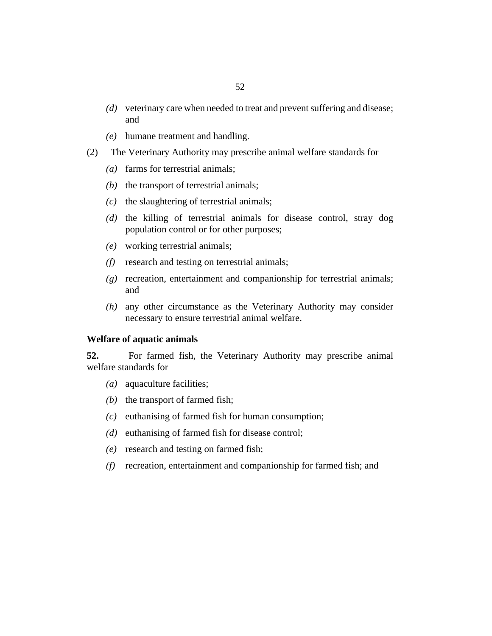- (d) veterinary care when needed to treat and prevent suffering and disease; and
- humane treatment and handling. *(e)*
- The Veterinary Authority may prescribe animal welfare standards for (2)
	- farms for terrestrial animals; *(a)*
	- $(b)$  the transport of terrestrial animals;
	- $(c)$  the slaughtering of terrestrial animals;
	- (d) the killing of terrestrial animals for disease control, stray dog population control or for other purposes;
	- working terrestrial animals; *(e)*
	- research and testing on terrestrial animals; *(f)*
	- (g) recreation, entertainment and companionship for terrestrial animals; and
	- any other circumstance as the Veterinary Authority may consider *(h)* necessary to ensure terrestrial animal welfare.

### **Welfare of aquatic animals**

For farmed fish, the Veterinary Authority may prescribe animal welfare standards for **52.**

- (a) aquaculture facilities;
- $(b)$  the transport of farmed fish;
- $(c)$  euthanising of farmed fish for human consumption;
- (d) euthanising of farmed fish for disease control;
- (e) research and testing on farmed fish;
- recreation, entertainment and companionship for farmed fish; and *(f)*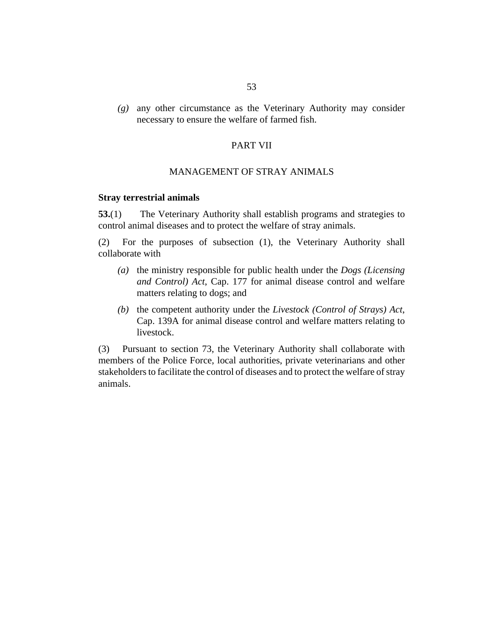any other circumstance as the Veterinary Authority may consider *(g)* necessary to ensure the welfare of farmed fish.

# PART VII

#### MANAGEMENT OF STRAY ANIMALS

#### **Stray terrestrial animals**

The Veterinary Authority shall establish programs and strategies to control animal diseases and to protect the welfare of stray animals. **53.**(1)

For the purposes of subsection (1), the Veterinary Authority shall collaborate with (2)

- (a) the ministry responsible for public health under the *[Dogs \(Licensing](http://barbadosparliament-laws.com/en/showdoc/cs/177)*) *[and Control\) Act](http://barbadosparliament-laws.com/en/showdoc/cs/177)*, Cap. 177 for animal disease control and welfare matters relating to dogs; and
- (b) the competent authority under the *[Livestock \(Control of Strays\) Act](http://barbadosparliament-laws.com/en/showdoc/cs/139A)*, [Cap. 139A](http://barbadosparliament-laws.com/en/showdoc/cs/139A) for animal disease control and welfare matters relating to livestock.

Pursuant to section 73, the Veterinary Authority shall collaborate with members of the Police Force, local authorities, private veterinarians and other stakeholders to facilitate the control of diseases and to protect the welfare of stray animals. (3)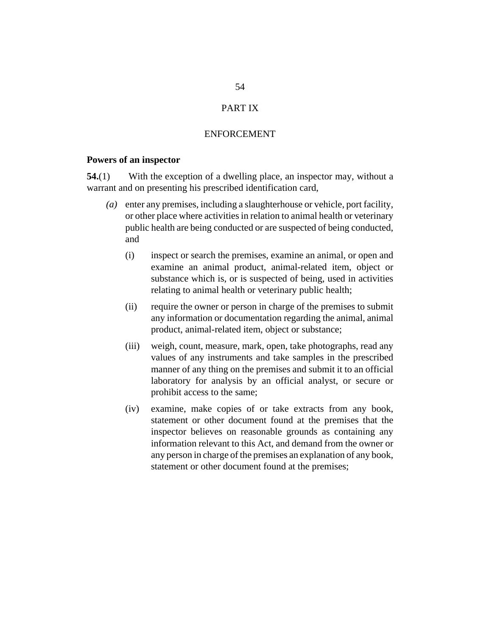# PART IX

### ENFORCEMENT

#### **Powers of an inspector**

With the exception of a dwelling place, an inspector may, without a warrant and on presenting his prescribed identification card, **54.**(1)

- enter any premises, including a slaughterhouse or vehicle, port facility, *(a)* or other place where activities in relation to animal health or veterinary public health are being conducted or are suspected of being conducted, and
	- inspect or search the premises, examine an animal, or open and examine an animal product, animal-related item, object or substance which is, or is suspected of being, used in activities relating to animal health or veterinary public health; (i)
	- require the owner or person in charge of the premises to submit any information or documentation regarding the animal, animal product, animal-related item, object or substance; (ii)
	- weigh, count, measure, mark, open, take photographs, read any values of any instruments and take samples in the prescribed manner of any thing on the premises and submit it to an official laboratory for analysis by an official analyst, or secure or prohibit access to the same; (iii)
	- examine, make copies of or take extracts from any book, statement or other document found at the premises that the inspector believes on reasonable grounds as containing any information relevant to this Act, and demand from the owner or any person in charge of the premises an explanation of any book, statement or other document found at the premises;  $(iv)$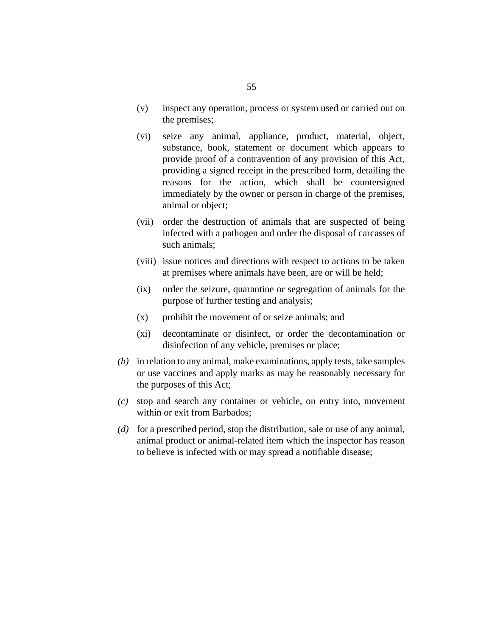- inspect any operation, process or system used or carried out on the premises; (v)
- seize any animal, appliance, product, material, object, substance, book, statement or document which appears to provide proof of a contravention of any provision of this Act, providing a signed receipt in the prescribed form, detailing the reasons for the action, which shall be countersigned immediately by the owner or person in charge of the premises, animal or object; (vi)
- (vii) order the destruction of animals that are suspected of being infected with a pathogen and order the disposal of carcasses of such animals;
- (viii) issue notices and directions with respect to actions to be taken at premises where animals have been, are or will be held;
- order the seizure, quarantine or segregation of animals for the purpose of further testing and analysis;  $(ix)$
- prohibit the movement of or seize animals; and (x)
- decontaminate or disinfect, or order the decontamination or disinfection of any vehicle, premises or place;  $(xi)$
- in relation to any animal, make examinations, apply tests, take samples *(b)* or use vaccines and apply marks as may be reasonably necessary for the purposes of this Act;
- stop and search any container or vehicle, on entry into, movement *(c)* within or exit from Barbados;
- for a prescribed period, stop the distribution, sale or use of any animal, *(d)* animal product or animal-related item which the inspector has reason to believe is infected with or may spread a notifiable disease;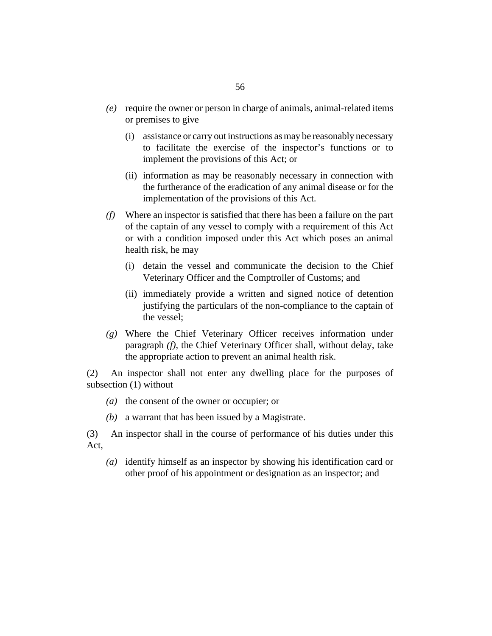- require the owner or person in charge of animals, animal-related items *(e)* or premises to give
	- assistance or carry out instructions as may be reasonably necessary (i) to facilitate the exercise of the inspector's functions or to implement the provisions of this Act; or
	- (ii) information as may be reasonably necessary in connection with the furtherance of the eradication of any animal disease or for the implementation of the provisions of this Act.
- Where an inspector is satisfied that there has been a failure on the part *(f)* of the captain of any vessel to comply with a requirement of this Act or with a condition imposed under this Act which poses an animal health risk, he may
	- (i) detain the vessel and communicate the decision to the Chief Veterinary Officer and the Comptroller of Customs; and
	- (ii) immediately provide a written and signed notice of detention justifying the particulars of the non-compliance to the captain of the vessel;
- Where the Chief Veterinary Officer receives information under *(g)* paragraph *(f)*, the Chief Veterinary Officer shall, without delay, take the appropriate action to prevent an animal health risk.

An inspector shall not enter any dwelling place for the purposes of subsection (1) without (2)

- (a) the consent of the owner or occupier; or
- a warrant that has been issued by a Magistrate. *(b)*

An inspector shall in the course of performance of his duties under this Act, (3)

identify himself as an inspector by showing his identification card or *(a)* other proof of his appointment or designation as an inspector; and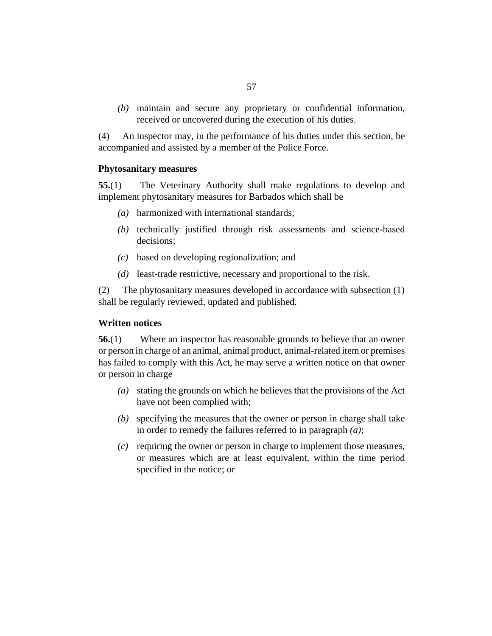maintain and secure any proprietary or confidential information, *(b)* received or uncovered during the execution of his duties.

An inspector may, in the performance of his duties under this section, be accompanied and assisted by a member of the Police Force. (4)

#### **Phytosanitary measures**

The Veterinary Authority shall make regulations to develop and implement phytosanitary measures for Barbados which shall be **55.**(1)

- harmonized with international standards; *(a)*
- (b) technically justified through risk assessments and science-based decisions;
- based on developing regionalization; and *(c)*
- (d) least-trade restrictive, necessary and proportional to the risk.

The phytosanitary measures developed in accordance with subsection (1) shall be regularly reviewed, updated and published. (2)

### **Written notices**

Where an inspector has reasonable grounds to believe that an owner or person in charge of an animal, animal product, animal-related item or premises has failed to comply with this Act, he may serve a written notice on that owner or person in charge **56.**(1)

- stating the grounds on which he believes that the provisions of the Act *(a)* have not been complied with;
- specifying the measures that the owner or person in charge shall take *(b)* in order to remedy the failures referred to in paragraph *(a)*;
- $\alpha$  requiring the owner or person in charge to implement those measures, or measures which are at least equivalent, within the time period specified in the notice; or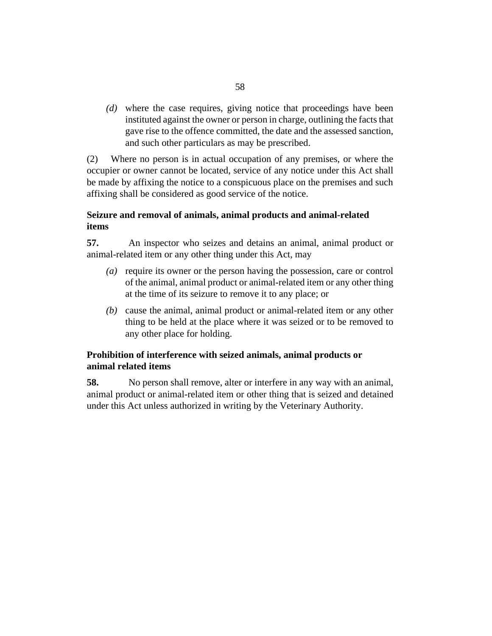where the case requires, giving notice that proceedings have been *(d)* instituted against the owner or person in charge, outlining the facts that gave rise to the offence committed, the date and the assessed sanction, and such other particulars as may be prescribed.

Where no person is in actual occupation of any premises, or where the occupier or owner cannot be located, service of any notice under this Act shall be made by affixing the notice to a conspicuous place on the premises and such affixing shall be considered as good service of the notice. (2)

# **Seizure and removal of animals, animal products and animal-related items**

An inspector who seizes and detains an animal, animal product or animal-related item or any other thing under this Act, may **57.**

- (a) require its owner or the person having the possession, care or control of the animal, animal product or animal-related item or any other thing at the time of its seizure to remove it to any place; or
- (b) cause the animal, animal product or animal-related item or any other thing to be held at the place where it was seized or to be removed to any other place for holding.

# **Prohibition of interference with seized animals, animal products or animal related items**

No person shall remove, alter or interfere in any way with an animal, animal product or animal-related item or other thing that is seized and detained under this Act unless authorized in writing by the Veterinary Authority. **58.**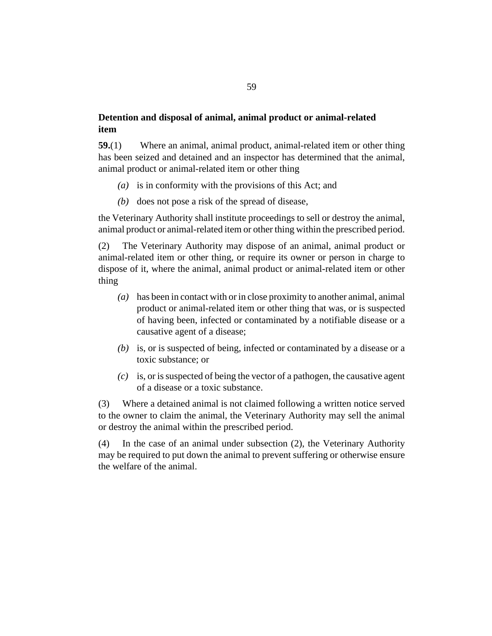# **Detention and disposal of animal, animal product or animal-related item**

Where an animal, animal product, animal-related item or other thing has been seized and detained and an inspector has determined that the animal, animal product or animal-related item or other thing **59.**(1)

- (a) is in conformity with the provisions of this Act; and
- $(b)$  does not pose a risk of the spread of disease,

the Veterinary Authority shall institute proceedings to sell or destroy the animal, animal product or animal-related item or other thing within the prescribed period.

The Veterinary Authority may dispose of an animal, animal product or animal-related item or other thing, or require its owner or person in charge to dispose of it, where the animal, animal product or animal-related item or other thing (2)

- has been in contact with or in close proximity to another animal, animal *(a)* product or animal-related item or other thing that was, or is suspected of having been, infected or contaminated by a notifiable disease or a causative agent of a disease;
- (b) is, or is suspected of being, infected or contaminated by a disease or a toxic substance; or
- $(c)$  is, or is suspected of being the vector of a pathogen, the causative agent of a disease or a toxic substance.

Where a detained animal is not claimed following a written notice served to the owner to claim the animal, the Veterinary Authority may sell the animal or destroy the animal within the prescribed period. (3)

In the case of an animal under subsection (2), the Veterinary Authority may be required to put down the animal to prevent suffering or otherwise ensure the welfare of the animal. (4)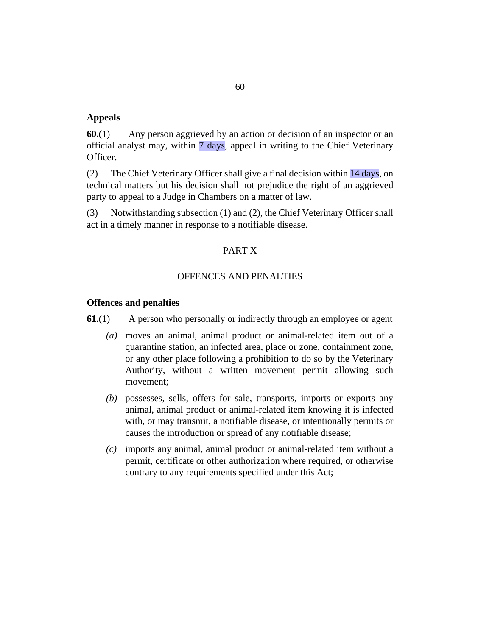#### **Appeals**

Any person aggrieved by an action or decision of an inspector or an official analyst may, within 7 days, appeal in writing to the Chief Veterinary Officer. **60.**(1)

The Chief Veterinary Officer shall give a final decision within 14 days, on technical matters but his decision shall not prejudice the right of an aggrieved party to appeal to a Judge in Chambers on a matter of law. (2)

Notwithstanding subsection (1) and (2), the Chief Veterinary Officer shall act in a timely manner in response to a notifiable disease. (3)

### PART X

### OFFENCES AND PENALTIES

# **Offences and penalties**

A person who personally or indirectly through an employee or agent **61.**(1)

- moves an animal, animal product or animal-related item out of a *(a)* quarantine station, an infected area, place or zone, containment zone, or any other place following a prohibition to do so by the Veterinary Authority, without a written movement permit allowing such movement;
- (b) possesses, sells, offers for sale, transports, imports or exports any animal, animal product or animal-related item knowing it is infected with, or may transmit, a notifiable disease, or intentionally permits or causes the introduction or spread of any notifiable disease;
- imports any animal, animal product or animal-related item without a *(c)* permit, certificate or other authorization where required, or otherwise contrary to any requirements specified under this Act;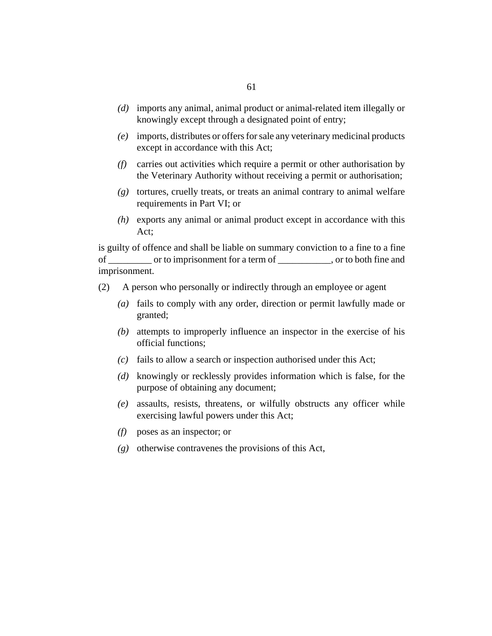- imports any animal, animal product or animal-related item illegally or *(d)* knowingly except through a designated point of entry;
- imports, distributes or offers for sale any veterinary medicinal products *(e)* except in accordance with this Act;
- carries out activities which require a permit or other authorisation by *(f)* the Veterinary Authority without receiving a permit or authorisation;
- tortures, cruelly treats, or treats an animal contrary to animal welfare *(g)* requirements in Part VI; or
- exports any animal or animal product except in accordance with this *(h)* Act;

is guilty of offence and shall be liable on summary conviction to a fine to a fine of \_\_\_\_\_\_\_\_\_ or to imprisonment for a term of \_\_\_\_\_\_\_\_\_\_\_, or to both fine and imprisonment.

- A person who personally or indirectly through an employee or agent (2)
	- fails to comply with any order, direction or permit lawfully made or *(a)* granted;
	- attempts to improperly influence an inspector in the exercise of his *(b)* official functions;
	- fails to allow a search or inspection authorised under this Act; *(c)*
	- (d) knowingly or recklessly provides information which is false, for the purpose of obtaining any document;
	- assaults, resists, threatens, or wilfully obstructs any officer while *(e)* exercising lawful powers under this Act;
	- poses as an inspector; or *(f)*
	- (g) otherwise contravenes the provisions of this Act,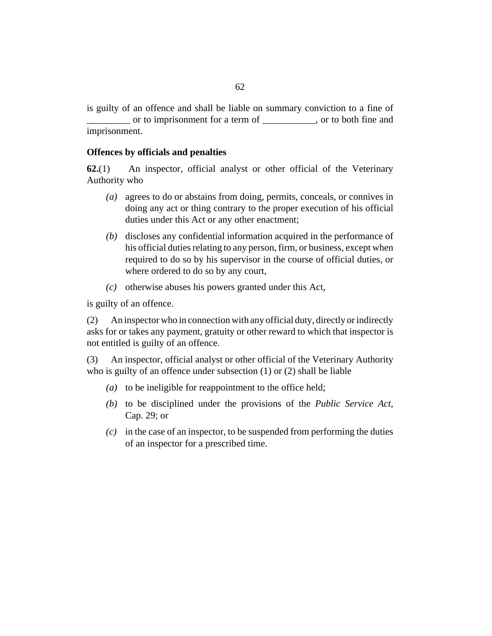is guilty of an offence and shall be liable on summary conviction to a fine of or to imprisonment for a term of can control or to both fine and imprisonment.

# **Offences by officials and penalties**

An inspector, official analyst or other official of the Veterinary Authority who **62.**(1)

- agrees to do or abstains from doing, permits, conceals, or connives in *(a)* doing any act or thing contrary to the proper execution of his official duties under this Act or any other enactment;
- (b) discloses any confidential information acquired in the performance of his official duties relating to any person, firm, or business, except when required to do so by his supervisor in the course of official duties, or where ordered to do so by any court,
- $(c)$  otherwise abuses his powers granted under this Act,

is guilty of an offence.

An inspector who in connection with any official duty, directly or indirectly asks for or takes any payment, gratuity or other reward to which that inspector is not entitled is guilty of an offence. (2)

An inspector, official analyst or other official of the Veterinary Authority who is guilty of an offence under subsection (1) or (2) shall be liable (3)

- ( $a$ ) to be ineligible for reappointment to the office held;
- (b) to be disciplined under the provisions of the *[Public Service Act](http://barbadosparliament-laws.com/en/showdoc/cs/29)*, [Cap. 29](http://barbadosparliament-laws.com/en/showdoc/cs/29); or
- $(c)$  in the case of an inspector, to be suspended from performing the duties of an inspector for a prescribed time.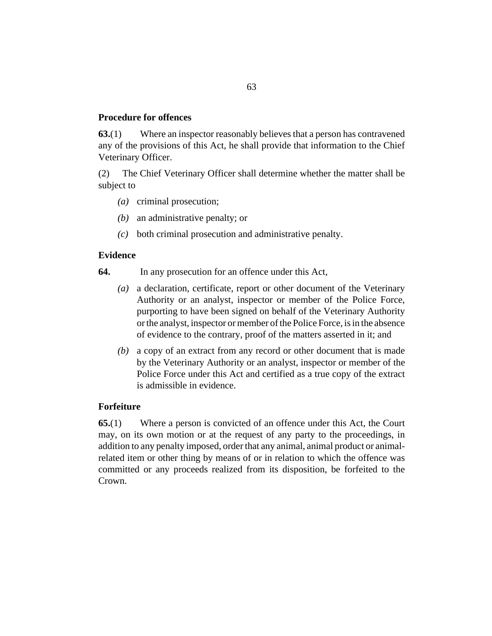# **Procedure for offences**

Where an inspector reasonably believes that a person has contravened any of the provisions of this Act, he shall provide that information to the Chief Veterinary Officer. **63.**(1)

The Chief Veterinary Officer shall determine whether the matter shall be subject to (2)

- (a) criminal prosecution;
- (b) an administrative penalty; or
- both criminal prosecution and administrative penalty. *(c)*

# **Evidence**

- In any prosecution for an offence under this Act, **64.**
	- a declaration, certificate, report or other document of the Veterinary Authority or an analyst, inspector or member of the Police Force, purporting to have been signed on behalf of the Veterinary Authority or the analyst, inspector or member of the Police Force, is in the absence of evidence to the contrary, proof of the matters asserted in it; and *(a)*
	- a copy of an extract from any record or other document that is made *(b)* by the Veterinary Authority or an analyst, inspector or member of the Police Force under this Act and certified as a true copy of the extract is admissible in evidence.

# **Forfeiture**

Where a person is convicted of an offence under this Act, the Court may, on its own motion or at the request of any party to the proceedings, in addition to any penalty imposed, order that any animal, animal product or animalrelated item or other thing by means of or in relation to which the offence was committed or any proceeds realized from its disposition, be forfeited to the Crown. **65.**(1)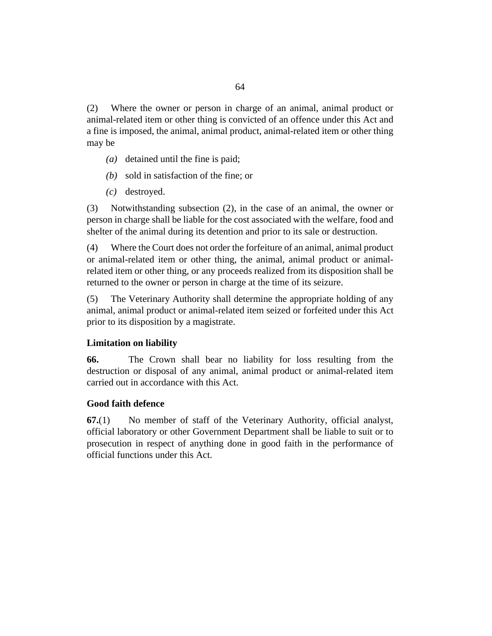Where the owner or person in charge of an animal, animal product or animal-related item or other thing is convicted of an offence under this Act and a fine is imposed, the animal, animal product, animal-related item or other thing may be (2)

- (a) detained until the fine is paid;
- sold in satisfaction of the fine; or *(b)*
- destroyed. *(c)*

Notwithstanding subsection (2), in the case of an animal, the owner or person in charge shall be liable for the cost associated with the welfare, food and shelter of the animal during its detention and prior to its sale or destruction. (3)

Where the Court does not order the forfeiture of an animal, animal product or animal-related item or other thing, the animal, animal product or animalrelated item or other thing, or any proceeds realized from its disposition shall be returned to the owner or person in charge at the time of its seizure. (4)

The Veterinary Authority shall determine the appropriate holding of any animal, animal product or animal-related item seized or forfeited under this Act prior to its disposition by a magistrate. (5)

### **Limitation on liability**

The Crown shall bear no liability for loss resulting from the destruction or disposal of any animal, animal product or animal-related item carried out in accordance with this Act. **66.**

### **Good faith defence**

No member of staff of the Veterinary Authority, official analyst, official laboratory or other Government Department shall be liable to suit or to prosecution in respect of anything done in good faith in the performance of official functions under this Act. **67.**(1)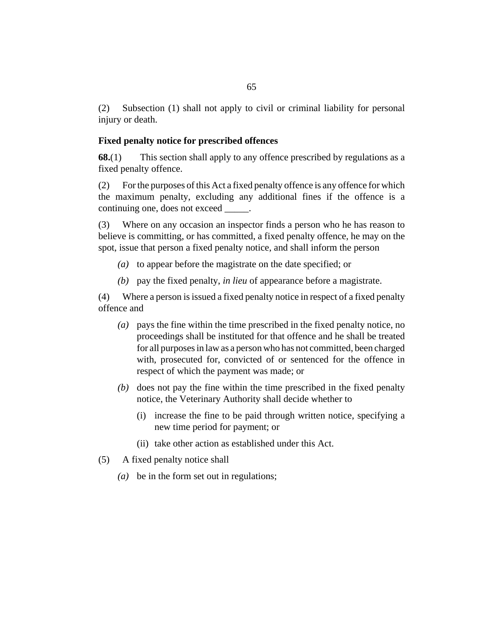Subsection (1) shall not apply to civil or criminal liability for personal injury or death. (2)

# **Fixed penalty notice for prescribed offences**

This section shall apply to any offence prescribed by regulations as a fixed penalty offence. **68.**(1)

For the purposes of this Act a fixed penalty offence is any offence for which the maximum penalty, excluding any additional fines if the offence is a continuing one, does not exceed  $\qquad \qquad$ . (2)

Where on any occasion an inspector finds a person who he has reason to believe is committing, or has committed, a fixed penalty offence, he may on the spot, issue that person a fixed penalty notice, and shall inform the person (3)

- (a) to appear before the magistrate on the date specified; or
- pay the fixed penalty, *in lieu* of appearance before a magistrate. *(b)*

Where a person is issued a fixed penalty notice in respect of a fixed penalty (4) offence and

- pays the fine within the time prescribed in the fixed penalty notice, no *(a)* proceedings shall be instituted for that offence and he shall be treated for all purposes in law as a person who has not committed, been charged with, prosecuted for, convicted of or sentenced for the offence in respect of which the payment was made; or
- (b) does not pay the fine within the time prescribed in the fixed penalty notice, the Veterinary Authority shall decide whether to
	- (i) increase the fine to be paid through written notice, specifying a new time period for payment; or
	- (ii) take other action as established under this Act.
- A fixed penalty notice shall (5)
	- be in the form set out in regulations; *(a)*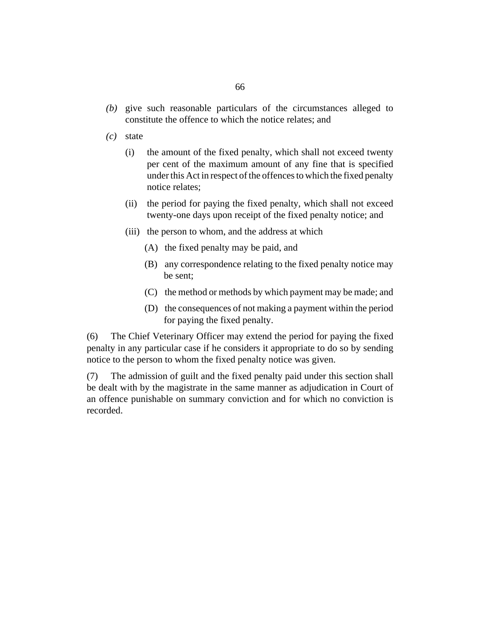- give such reasonable particulars of the circumstances alleged to *(b)* constitute the offence to which the notice relates; and
- state *(c)*
	- the amount of the fixed penalty, which shall not exceed twenty per cent of the maximum amount of any fine that is specified under this Act in respect of the offences to which the fixed penalty notice relates; (i)
	- (ii) the period for paying the fixed penalty, which shall not exceed twenty-one days upon receipt of the fixed penalty notice; and
	- (iii) the person to whom, and the address at which
		- (A) the fixed penalty may be paid, and
		- (B) any correspondence relating to the fixed penalty notice may be sent;
		- (C) the method or methods by which payment may be made; and
		- (D) the consequences of not making a payment within the period for paying the fixed penalty.

The Chief Veterinary Officer may extend the period for paying the fixed penalty in any particular case if he considers it appropriate to do so by sending notice to the person to whom the fixed penalty notice was given. (6)

The admission of guilt and the fixed penalty paid under this section shall be dealt with by the magistrate in the same manner as adjudication in Court of an offence punishable on summary conviction and for which no conviction is recorded. (7)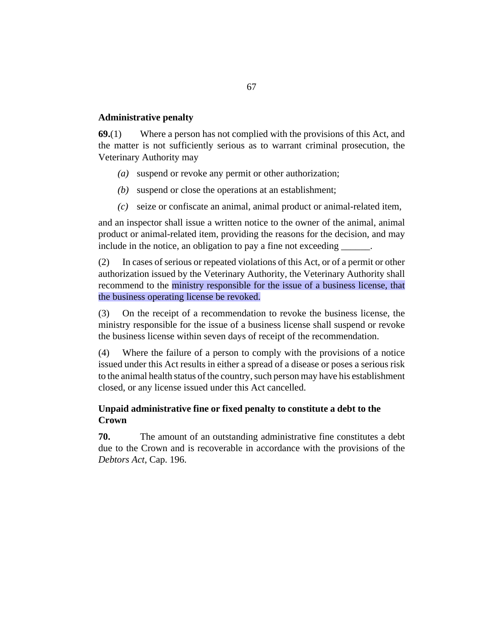# **Administrative penalty**

Where a person has not complied with the provisions of this Act, and the matter is not sufficiently serious as to warrant criminal prosecution, the Veterinary Authority may **69.**(1)

- suspend or revoke any permit or other authorization; *(a)*
- (b) suspend or close the operations at an establishment;
- seize or confiscate an animal, animal product or animal-related item, *(c)*

and an inspector shall issue a written notice to the owner of the animal, animal product or animal-related item, providing the reasons for the decision, and may include in the notice, an obligation to pay a fine not exceeding \_\_\_\_\_\_.

In cases of serious or repeated violations of this Act, or of a permit or other authorization issued by the Veterinary Authority, the Veterinary Authority shall recommend to the ministry responsible for the issue of a business license, that the business operating license be revoked. (2)

On the receipt of a recommendation to revoke the business license, the ministry responsible for the issue of a business license shall suspend or revoke the business license within seven days of receipt of the recommendation. (3)

Where the failure of a person to comply with the provisions of a notice issued under this Act results in either a spread of a disease or poses a serious risk to the animal health status of the country, such person may have his establishment closed, or any license issued under this Act cancelled. (4)

# **Unpaid administrative fine or fixed penalty to constitute a debt to the Crown**

The amount of an outstanding administrative fine constitutes a debt due to the Crown and is recoverable in accordance with the provisions of the *[Debtors Act](http://barbadosparliament-laws.com/en/showdoc/cs/196)*, Cap. 196. **70.**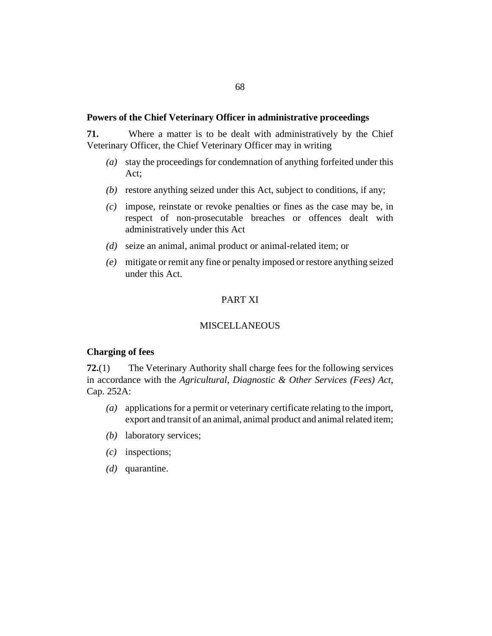#### **Powers of the Chief Veterinary Officer in administrative proceedings**

Where a matter is to be dealt with administratively by the Chief Veterinary Officer, the Chief Veterinary Officer may in writing **71.**

- stay the proceedings for condemnation of anything forfeited under this *(a)* Act;
- (b) restore anything seized under this Act, subject to conditions, if any;
- impose, reinstate or revoke penalties or fines as the case may be, in *(c)* respect of non-prosecutable breaches or offences dealt with administratively under this Act
- seize an animal, animal product or animal-related item; or *(d)*
- mitigate or remit any fine or penalty imposed or restore anything seized *(e)* under this Act.

# PART XI

### **MISCELLANEOUS**

#### **Charging of fees**

The Veterinary Authority shall charge fees for the following services in accordance with the *[Agricultural, Diagnostic & Other Services \(Fees\) Act](http://barbadosparliament-laws.com/en/showdoc/cs/252A)*, [Cap. 252A:](http://barbadosparliament-laws.com/en/showdoc/cs/252A) **72.**(1)

- applications for a permit or veterinary certificate relating to the import, *(a)* export and transit of an animal, animal product and animal related item;
- (b) laboratory services;
- inspections; *(c)*
- (*d*) quarantine.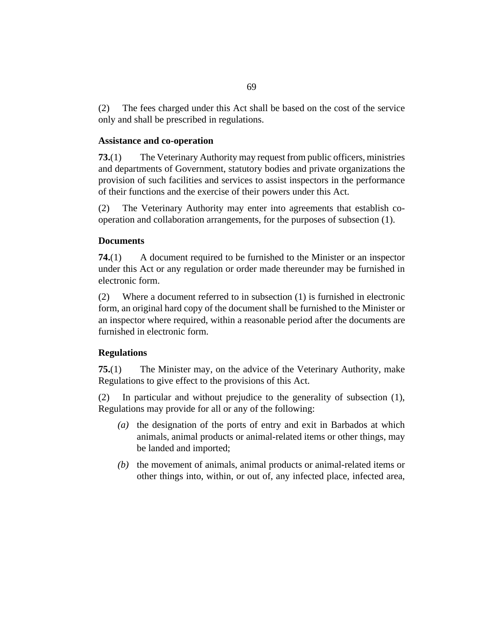The fees charged under this Act shall be based on the cost of the service only and shall be prescribed in regulations. (2)

# **Assistance and co-operation**

The Veterinary Authority may request from public officers, ministries and departments of Government, statutory bodies and private organizations the provision of such facilities and services to assist inspectors in the performance of their functions and the exercise of their powers under this Act. **73.**(1)

The Veterinary Authority may enter into agreements that establish cooperation and collaboration arrangements, for the purposes of subsection (1). (2)

# **Documents**

A document required to be furnished to the Minister or an inspector under this Act or any regulation or order made thereunder may be furnished in electronic form. **74.**(1)

Where a document referred to in subsection (1) is furnished in electronic form, an original hard copy of the document shall be furnished to the Minister or an inspector where required, within a reasonable period after the documents are furnished in electronic form. (2)

# **Regulations**

The Minister may, on the advice of the Veterinary Authority, make Regulations to give effect to the provisions of this Act. **75.**(1)

In particular and without prejudice to the generality of subsection (1), Regulations may provide for all or any of the following: (2)

- (a) the designation of the ports of entry and exit in Barbados at which animals, animal products or animal-related items or other things, may be landed and imported;
- $(b)$  the movement of animals, animal products or animal-related items or other things into, within, or out of, any infected place, infected area,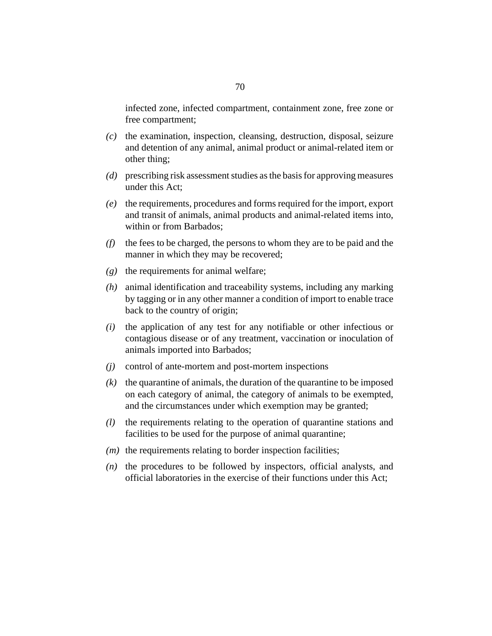infected zone, infected compartment, containment zone, free zone or free compartment;

- (c) the examination, inspection, cleansing, destruction, disposal, seizure and detention of any animal, animal product or animal-related item or other thing;
- prescribing risk assessment studies as the basis for approving measures *(d)* under this Act;
- (e) the requirements, procedures and forms required for the import, export and transit of animals, animal products and animal-related items into, within or from Barbados;
- $(f)$  the fees to be charged, the persons to whom they are to be paid and the manner in which they may be recovered;
- $(g)$  the requirements for animal welfare;
- animal identification and traceability systems, including any marking *(h)* by tagging or in any other manner a condition of import to enable trace back to the country of origin;
- $(i)$  the application of any test for any notifiable or other infectious or contagious disease or of any treatment, vaccination or inoculation of animals imported into Barbados;
- control of ante-mortem and post-mortem inspections *(j)*
- $(k)$  the quarantine of animals, the duration of the quarantine to be imposed on each category of animal, the category of animals to be exempted, and the circumstances under which exemption may be granted;
- (*l*) the requirements relating to the operation of quarantine stations and facilities to be used for the purpose of animal quarantine;
- $(m)$  the requirements relating to border inspection facilities;
- $(n)$  the procedures to be followed by inspectors, official analysts, and official laboratories in the exercise of their functions under this Act;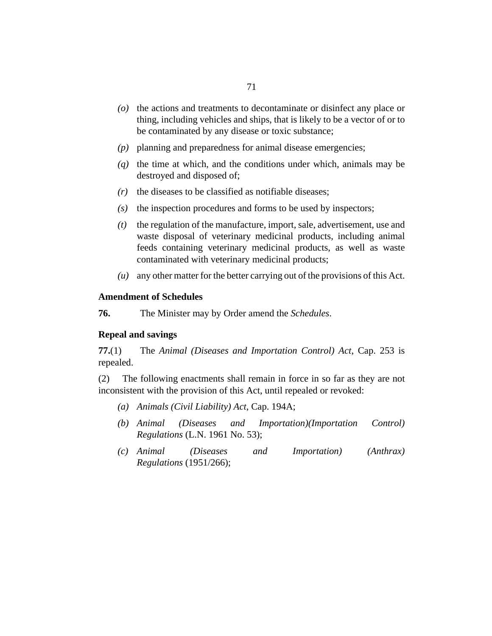- (o) the actions and treatments to decontaminate or disinfect any place or thing, including vehicles and ships, that is likely to be a vector of or to be contaminated by any disease or toxic substance;
- planning and preparedness for animal disease emergencies; *(p)*
- $\eta$  the time at which, and the conditions under which, animals may be destroyed and disposed of;
- $(r)$  the diseases to be classified as notifiable diseases;
- (s) the inspection procedures and forms to be used by inspectors;
- the regulation of the manufacture, import, sale, advertisement, use and waste disposal of veterinary medicinal products, including animal feeds containing veterinary medicinal products, as well as waste contaminated with veterinary medicinal products; *(t)*
- any other matter for the better carrying out of the provisions of this Act. *(u)*

# **Amendment of Schedules**

The Minister may by Order amend the *Schedules*. **76.**

#### **Repeal and savings**

The *[Animal \(Diseases and Importation Control\) Act](http://barbadosparliament-laws.com/en/showdoc/cs/253)*, Cap. 253 is repealed. **77.**(1)

The following enactments shall remain in force in so far as they are not inconsistent with the provision of this Act, until repealed or revoked: (2)

- *[Animals \(Civil Liability\) Act](http://barbadosparliament-laws.com/en/showdoc/cs/194A)*, Cap. 194A; *(a)*
- *[Animal \(Diseases and Importation\)\(Importation Control\)](http://barbadosparliament-laws.com/en/showdoc/cr/1961/53) Regulations* [\(L.N. 1961 No. 53\)](http://barbadosparliament-laws.com/en/showdoc/cr/1961/53); *(b)*
- *[Animal \(Diseases and Importation\) \(Anthrax\)](http://barbadosparliament-laws.com/en/showdoc/cr/1951/266) [Regulations](http://barbadosparliament-laws.com/en/showdoc/cr/1951/266)* (1951/266); *(c)*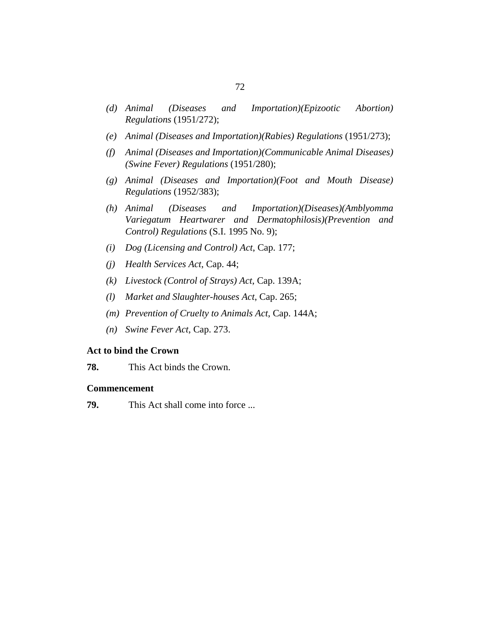- *[Animal \(Diseases and Importation\)\(Epizootic Abortion\)](http://barbadosparliament-laws.com/en/showdoc/cr/1951/272) [Regulations](http://barbadosparliament-laws.com/en/showdoc/cr/1951/272)* (1951/272); *(d)*
- *[Animal \(Diseases and Importation\)\(Rabies\) Regulations](http://barbadosparliament-laws.com/en/showdoc/cr/1951/273)* (1951/273); *(e)*
- *[Animal \(Diseases and Importation\)\(Communicable Animal Diseases\)](http://barbadosparliament-laws.com/en/showdoc/cr/1951/280) (f) [\(Swine Fever\) Regulations](http://barbadosparliament-laws.com/en/showdoc/cr/1951/280)* (1951/280);
- *[Animal \(Diseases and Importation\)\(Foot and Mouth Disease\)](http://barbadosparliament-laws.com/en/showdoc/cr/1952/383) (g) [Regulations](http://barbadosparliament-laws.com/en/showdoc/cr/1952/383)* (1952/383);
- *[Animal \(Diseases and Importation\)\(Diseases\)\(Amblyomma](http://barbadosparliament-laws.com/en/showdoc/cr/1995/9) [Variegatum Heartwarer and Dermatophilosis\)\(Prevention and](http://barbadosparliament-laws.com/en/showdoc/cr/1995/9) [Control\) Regulations](http://barbadosparliament-laws.com/en/showdoc/cr/1995/9)* (S.I. 1995 No. 9); *(h)*
- *[Dog \(Licensing and Control\) Act](http://barbadosparliament-laws.com/en/showdoc/cs/177)*, Cap. 177; *(i)*
- *[Health Services Act](http://barbadosparliament-laws.com/en/showdoc/cs/44)*, Cap. 44; *(j)*
- *[Livestock \(Control of Strays\) Act](http://barbadosparliament-laws.com/en/showdoc/cs/139A)*, Cap. 139A; *(k)*
- *[Market and Slaughter-houses Act](http://barbadosparliament-laws.com/en/showdoc/cs/265)*, Cap. 265; *(l)*
- *[Prevention of Cruelty to Animals Act](http://barbadosparliament-laws.com/en/showdoc/cs/144A)*, Cap. 144A; *(m)*
- *[Swine Fever Act](http://barbadosparliament-laws.com/en/showdoc/cs/273)*, Cap. 273. *(n)*

#### **Act to bind the Crown**

This Act binds the Crown. **78.**

#### **Commencement**

This Act shall come into force ... **79.**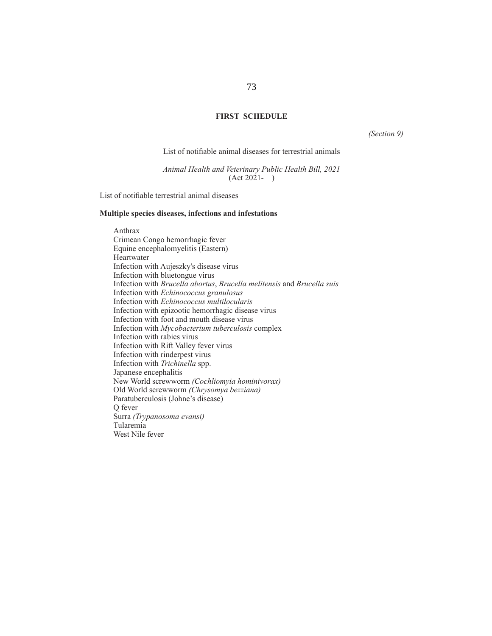## **FIRST SCHEDULE**

*(Section 9)*

List of notifiable animal diseases for terrestrial animals

*Animal Health and Veterinary Public Health Bill, 2021* (Act 2021- )

List of notifiable terrestrial animal diseases

## **Multiple species diseases, infections and infestations**

Anthrax Crimean Congo hemorrhagic fever Equine encephalomyelitis (Eastern) Heartwater Infection with Aujeszky's disease virus Infection with bluetongue virus Infection with *Brucella abortus*, *Brucella melitensis* and *Brucella suis* Infection with *Echinococcus granulosus* Infection with *Echinococcus multilocularis* Infection with epizootic hemorrhagic disease virus Infection with foot and mouth disease virus Infection with *Mycobacterium tuberculosis* complex Infection with rabies virus Infection with Rift Valley fever virus Infection with rinderpest virus Infection with *Trichinella* spp. Japanese encephalitis New World screwworm *(Cochliomyia hominivorax)* Old World screwworm *(Chrysomya bezziana)* Paratuberculosis (Johne's disease) Q fever Surra *(Trypanosoma evansi)* Tularemia West Nile fever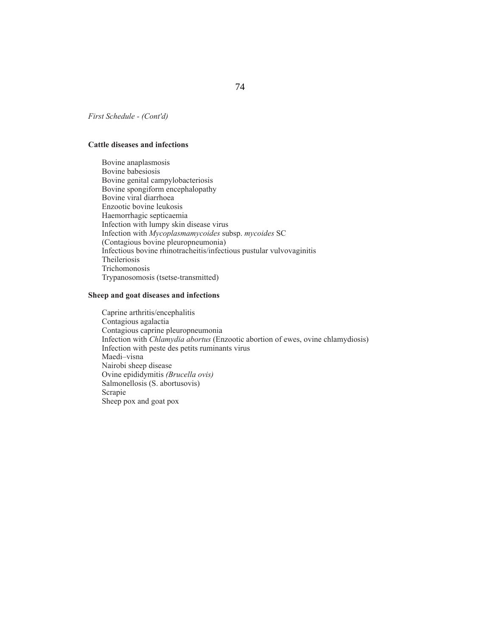*First Schedule - (Cont'd)*

#### **Cattle diseases and infections**

Bovine anaplasmosis Bovine babesiosis Bovine genital campylobacteriosis Bovine spongiform encephalopathy Bovine viral diarrhoea Enzootic bovine leukosis Haemorrhagic septicaemia Infection with lumpy skin disease virus Infection with *Mycoplasmamycoides* subsp. *mycoides* SC (Contagious bovine pleuropneumonia) Infectious bovine rhinotracheitis/infectious pustular vulvovaginitis Theileriosis Trichomonosis Trypanosomosis (tsetse-transmitted)

#### **Sheep and goat diseases and infections**

Caprine arthritis/encephalitis Contagious agalactia Contagious caprine pleuropneumonia Infection with *Chlamydia abortus* (Enzootic abortion of ewes, ovine chlamydiosis) Infection with peste des petits ruminants virus Maedi–visna Nairobi sheep disease Ovine epididymitis *(Brucella ovis)* Salmonellosis (S. abortusovis) Scrapie Sheep pox and goat pox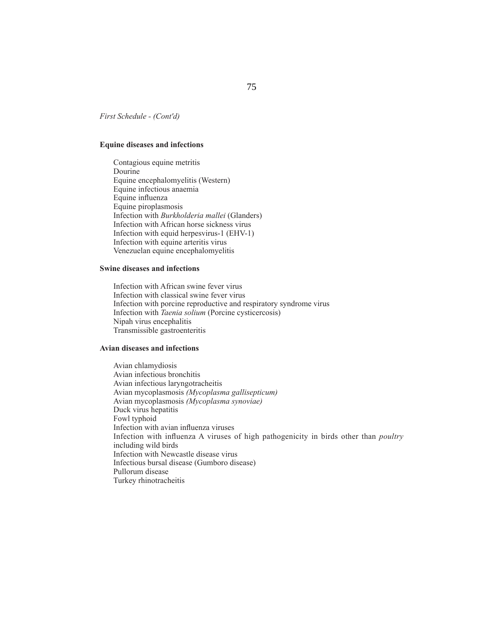*First Schedule - (Cont'd)*

### **Equine diseases and infections**

Contagious equine metritis Dourine Equine encephalomyelitis (Western) Equine infectious anaemia Equine influenza Equine piroplasmosis Infection with *Burkholderia mallei* (Glanders) Infection with African horse sickness virus Infection with equid herpesvirus-1 (EHV-1) Infection with equine arteritis virus Venezuelan equine encephalomyelitis

## **Swine diseases and infections**

Infection with African swine fever virus Infection with classical swine fever virus Infection with porcine reproductive and respiratory syndrome virus Infection with *Taenia solium* (Porcine cysticercosis) Nipah virus encephalitis Transmissible gastroenteritis

#### **Avian diseases and infections**

Avian chlamydiosis Avian infectious bronchitis Avian infectious laryngotracheitis Avian mycoplasmosis *(Mycoplasma gallisepticum)* Avian mycoplasmosis *(Mycoplasma synoviae)* Duck virus hepatitis Fowl typhoid Infection with avian influenza viruses Infection with influenza A viruses of high pathogenicity in birds other than *poultry* including wild birds Infection with Newcastle disease virus Infectious bursal disease (Gumboro disease) Pullorum disease Turkey rhinotracheitis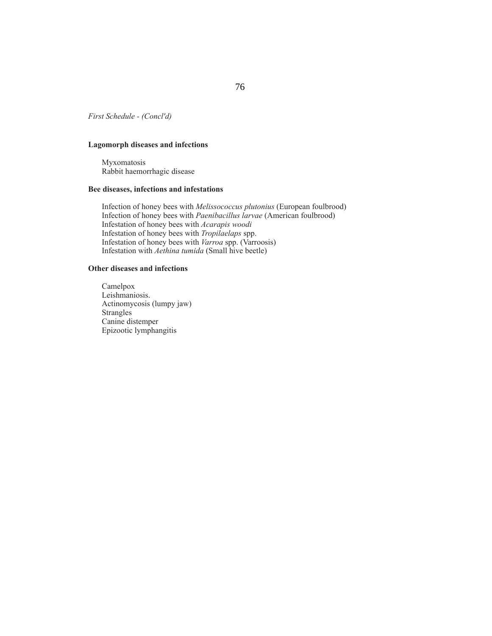## *First Schedule - (Concl'd)*

# **Lagomorph diseases and infections**

Myxomatosis Rabbit haemorrhagic disease

# **Bee diseases, infections and infestations**

Infection of honey bees with *Melissococcus plutonius* (European foulbrood) Infection of honey bees with *Paenibacillus larvae* (American foulbrood) Infestation of honey bees with *Acarapis woodi* Infestation of honey bees with *Tropilaelaps* spp. Infestation of honey bees with *Varroa* spp. (Varroosis) Infestation with *Aethina tumida* (Small hive beetle)

## **Other diseases and infections**

Camelpox Leishmaniosis. Actinomycosis (lumpy jaw) Strangles Canine distemper Epizootic lymphangitis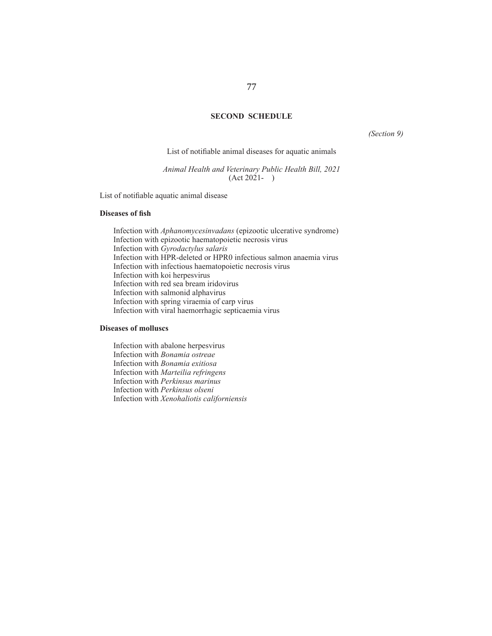## **SECOND SCHEDULE**

*(Section 9)*

List of notifiable animal diseases for aquatic animals

*Animal Health and Veterinary Public Health Bill, 2021* (Act 2021- )

List of notifiable aquatic animal disease

### **Diseases of fish**

Infection with *Aphanomycesinvadans* (epizootic ulcerative syndrome) Infection with epizootic haematopoietic necrosis virus Infection with *Gyrodactylus salaris* Infection with HPR-deleted or HPR0 infectious salmon anaemia virus Infection with infectious haematopoietic necrosis virus Infection with koi herpesvirus Infection with red sea bream iridovirus Infection with salmonid alphavirus Infection with spring viraemia of carp virus Infection with viral haemorrhagic septicaemia virus

#### **Diseases of molluscs**

Infection with abalone herpesvirus Infection with *Bonamia ostreae* Infection with *Bonamia exitiosa* Infection with *Marteilia refringens* Infection with *Perkinsus marinus* Infection with *Perkinsus olseni* Infection with *Xenohaliotis californiensis*